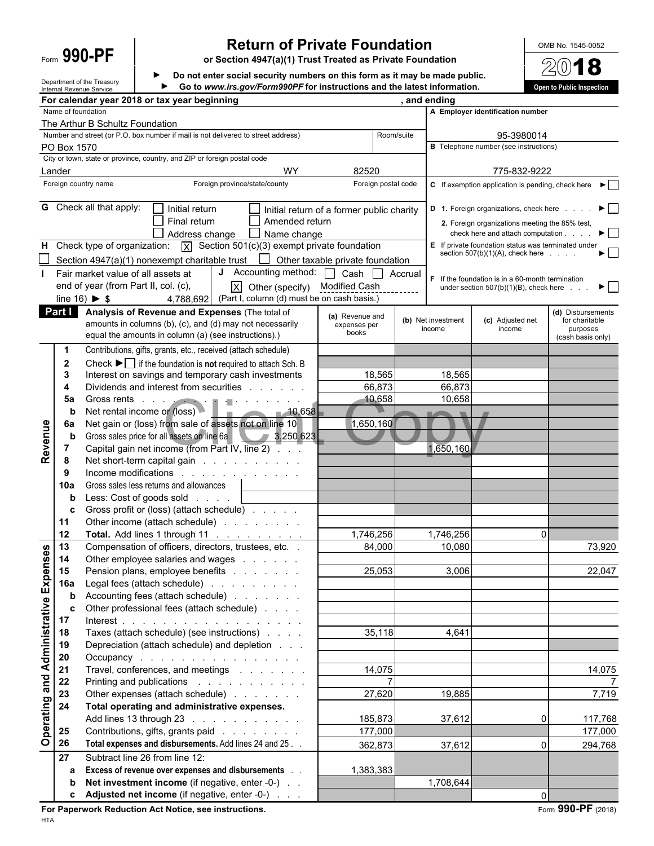### Form **990-PF Return of Private Foundation**<br>
The point of the section 4947(a)(1) Trust Treated as Private Foundation<br>
De not onter secial security numbers on this form se it may be mode public

**or Section 4947(a)(1) Trust Treated as Private Foundation**

**Do not enter social security numbers on this form as it may be made public. Go to** *www.irs.gov/Form990PF* **for instructions and the latest information. Open to Public Inspection**

|                                              |                    | Department of the Treasury<br>Internal Revenue Service |                                                                          | Go to www.irs.gov/Form990PF for instructions and the latest information.                                                                                                                                                       |                                           |                                             |                                                                                                     | Open to Public Inspection      |
|----------------------------------------------|--------------------|--------------------------------------------------------|--------------------------------------------------------------------------|--------------------------------------------------------------------------------------------------------------------------------------------------------------------------------------------------------------------------------|-------------------------------------------|---------------------------------------------|-----------------------------------------------------------------------------------------------------|--------------------------------|
|                                              |                    |                                                        | For calendar year 2018 or tax year beginning                             |                                                                                                                                                                                                                                |                                           | , and ending                                |                                                                                                     |                                |
|                                              | Name of foundation |                                                        |                                                                          |                                                                                                                                                                                                                                |                                           |                                             | A Employer identification number                                                                    |                                |
|                                              |                    | The Arthur B Schultz Foundation                        |                                                                          |                                                                                                                                                                                                                                |                                           |                                             |                                                                                                     |                                |
|                                              |                    |                                                        |                                                                          | Number and street (or P.O. box number if mail is not delivered to street address)                                                                                                                                              | Room/suite                                |                                             | 95-3980014                                                                                          |                                |
|                                              | PO Box 1570        |                                                        |                                                                          |                                                                                                                                                                                                                                |                                           |                                             | <b>B</b> Telephone number (see instructions)                                                        |                                |
|                                              |                    |                                                        | City or town, state or province, country, and ZIP or foreign postal code |                                                                                                                                                                                                                                |                                           |                                             |                                                                                                     |                                |
|                                              | Lander             |                                                        |                                                                          | <b>WY</b>                                                                                                                                                                                                                      | 82520                                     |                                             | 775-832-9222                                                                                        |                                |
|                                              |                    | Foreign country name                                   |                                                                          | Foreign province/state/county                                                                                                                                                                                                  | Foreign postal code                       |                                             | C If exemption application is pending, check here                                                   |                                |
|                                              |                    |                                                        |                                                                          |                                                                                                                                                                                                                                |                                           |                                             |                                                                                                     |                                |
|                                              |                    | <b>G</b> Check all that apply:                         | $\Box$ Initial return                                                    |                                                                                                                                                                                                                                | Initial return of a former public charity |                                             | D 1. Foreign organizations, check here                                                              | ▶ │ │                          |
|                                              |                    |                                                        | $\Box$ Final return                                                      | Amended return                                                                                                                                                                                                                 |                                           |                                             | 2. Foreign organizations meeting the 85% test,                                                      |                                |
|                                              |                    |                                                        | Address change                                                           | $\Box$ Name change                                                                                                                                                                                                             |                                           |                                             | check here and attach computation.                                                                  | $\blacktriangleright$ $\vdash$ |
|                                              |                    |                                                        |                                                                          | H Check type of organization: $\overline{X}$ Section 501(c)(3) exempt private foundation                                                                                                                                       |                                           |                                             | E If private foundation status was terminated under<br>section $507(b)(1)(A)$ , check here $\ldots$ | $\blacktriangleright$          |
|                                              |                    |                                                        |                                                                          | Section 4947(a)(1) nonexempt charitable trust $\Box$ Other taxable private foundation                                                                                                                                          |                                           |                                             |                                                                                                     |                                |
|                                              |                    |                                                        | Fair market value of all assets at                                       | J Accounting method: $\Box$ Cash $\Box$                                                                                                                                                                                        |                                           | Accrual                                     | $F$ If the foundation is in a 60-month termination                                                  |                                |
|                                              |                    |                                                        | end of year (from Part II, col. (c),                                     | $ X $ Other (specify) Modified Cash                                                                                                                                                                                            |                                           |                                             | under section $507(b)(1)(B)$ , check here $\ldots$                                                  | $\blacktriangleright$ 1        |
|                                              |                    | line 16) $\triangleright$ \$                           |                                                                          | 4,788,692 (Part I, column (d) must be on cash basis.)                                                                                                                                                                          |                                           |                                             |                                                                                                     |                                |
|                                              | Part I             |                                                        |                                                                          | Analysis of Revenue and Expenses (The total of                                                                                                                                                                                 | (a) Revenue and                           |                                             |                                                                                                     | (d) Disbursements              |
|                                              |                    |                                                        |                                                                          | amounts in columns (b), (c), and (d) may not necessarily                                                                                                                                                                       | expenses per                              | (b) Net investment                          | (c) Adjusted net                                                                                    | for charitable                 |
|                                              |                    |                                                        | equal the amounts in column (a) (see instructions).)                     |                                                                                                                                                                                                                                | books                                     | income                                      | income                                                                                              | purposes<br>(cash basis only)  |
|                                              |                    |                                                        |                                                                          | Contributions, gifts, grants, etc., received (attach schedule)                                                                                                                                                                 |                                           |                                             |                                                                                                     |                                |
|                                              | $\mathbf{2}$       |                                                        |                                                                          | Check $\blacktriangleright \Box$ if the foundation is <b>not</b> required to attach Sch. B                                                                                                                                     |                                           |                                             |                                                                                                     |                                |
|                                              | 3                  |                                                        |                                                                          | Interest on savings and temporary cash investments                                                                                                                                                                             | 18,565                                    | 18,565                                      |                                                                                                     |                                |
|                                              | 4                  |                                                        |                                                                          | Dividends and interest from securities                                                                                                                                                                                         | 66,873                                    | 66,873                                      |                                                                                                     |                                |
|                                              | 5a                 |                                                        |                                                                          | Gross rents in the contract of the contract of the contract of the contract of the contract of the contract of the contract of the contract of the contract of the contract of the contract of the contract of the contract of | 10,658                                    | 10,658                                      |                                                                                                     |                                |
|                                              | b                  |                                                        | Net rental income or (loss)                                              | $-10,658$<br><b>COL</b>                                                                                                                                                                                                        |                                           | <b>The Contract of Street</b><br>$\sqrt{2}$ |                                                                                                     |                                |
|                                              | 6a                 |                                                        |                                                                          | Net gain or (loss) from sale of assets not on line 10                                                                                                                                                                          | 1,650,160                                 |                                             |                                                                                                     |                                |
| Revenue                                      | $\mathbf b$        |                                                        |                                                                          | Gross sales price for all assets on line 6a 3,250,623                                                                                                                                                                          |                                           |                                             |                                                                                                     |                                |
|                                              | 7                  |                                                        |                                                                          | Capital gain net income (from Part IV, line 2) $\overline{a}$ .                                                                                                                                                                |                                           | 1,650,160                                   |                                                                                                     |                                |
|                                              | 8                  |                                                        |                                                                          | Net short-term capital gain                                                                                                                                                                                                    |                                           |                                             |                                                                                                     |                                |
|                                              | 9                  |                                                        |                                                                          | Income modifications                                                                                                                                                                                                           |                                           |                                             |                                                                                                     |                                |
|                                              | 10a                |                                                        | Gross sales less returns and allowances                                  |                                                                                                                                                                                                                                |                                           |                                             |                                                                                                     |                                |
|                                              | b                  |                                                        | Less: Cost of goods sold                                                 |                                                                                                                                                                                                                                |                                           |                                             |                                                                                                     |                                |
|                                              | c                  |                                                        |                                                                          | Gross profit or (loss) (attach schedule)                                                                                                                                                                                       |                                           |                                             |                                                                                                     |                                |
|                                              | 11                 |                                                        |                                                                          | Other income (attach schedule)                                                                                                                                                                                                 |                                           |                                             |                                                                                                     |                                |
|                                              | 12                 |                                                        |                                                                          | <b>Total.</b> Add lines 1 through 11                                                                                                                                                                                           | 1,746,256                                 | 1,746,256                                   |                                                                                                     |                                |
|                                              | 13                 |                                                        |                                                                          | Compensation of officers, directors, trustees, etc. .                                                                                                                                                                          | 84,000                                    | 10,080                                      |                                                                                                     | 73,920                         |
|                                              |                    |                                                        |                                                                          | Other employee salaries and wages                                                                                                                                                                                              |                                           |                                             |                                                                                                     |                                |
|                                              | 15                 |                                                        |                                                                          | Pension plans, employee benefits                                                                                                                                                                                               | 25,053                                    | 3,006                                       |                                                                                                     | 22,047                         |
|                                              | <b>16a</b>         |                                                        |                                                                          | Legal fees (attach schedule)                                                                                                                                                                                                   |                                           |                                             |                                                                                                     |                                |
| <b>Operating and Administrative Expenses</b> | b                  |                                                        |                                                                          | Accounting fees (attach schedule)                                                                                                                                                                                              |                                           |                                             |                                                                                                     |                                |
|                                              | c                  |                                                        |                                                                          | Other professional fees (attach schedule)                                                                                                                                                                                      |                                           |                                             |                                                                                                     |                                |
|                                              | 17                 |                                                        |                                                                          |                                                                                                                                                                                                                                |                                           |                                             |                                                                                                     |                                |
|                                              | 18                 |                                                        |                                                                          | Taxes (attach schedule) (see instructions)                                                                                                                                                                                     | 35,118                                    | 4,641                                       |                                                                                                     |                                |
|                                              | 19                 |                                                        |                                                                          | Depreciation (attach schedule) and depletion                                                                                                                                                                                   |                                           |                                             |                                                                                                     |                                |
|                                              | 20                 |                                                        |                                                                          | Occupancy                                                                                                                                                                                                                      |                                           |                                             |                                                                                                     |                                |
|                                              | 21                 |                                                        |                                                                          | Travel, conferences, and meetings                                                                                                                                                                                              | 14,075                                    |                                             |                                                                                                     | 14,075                         |
|                                              |                    |                                                        |                                                                          |                                                                                                                                                                                                                                |                                           |                                             |                                                                                                     |                                |
|                                              | 22                 |                                                        |                                                                          | Printing and publications                                                                                                                                                                                                      | 27,620                                    |                                             |                                                                                                     |                                |
|                                              | 23                 |                                                        |                                                                          | Other expenses (attach schedule)                                                                                                                                                                                               |                                           | 19,885                                      |                                                                                                     | 7,719                          |
|                                              | 24                 |                                                        |                                                                          | Total operating and administrative expenses.                                                                                                                                                                                   |                                           |                                             |                                                                                                     |                                |
|                                              |                    |                                                        |                                                                          | Add lines 13 through 23                                                                                                                                                                                                        | 185,873                                   | 37,612                                      |                                                                                                     | 117,768                        |
|                                              | 25                 |                                                        |                                                                          | Contributions, gifts, grants paid                                                                                                                                                                                              | 177,000                                   |                                             |                                                                                                     | 177,000                        |
|                                              | 26                 |                                                        |                                                                          | Total expenses and disbursements. Add lines 24 and 25                                                                                                                                                                          | 362,873                                   | 37,612                                      |                                                                                                     | 0<br>294,768                   |
|                                              | 27                 |                                                        | Subtract line 26 from line 12:                                           |                                                                                                                                                                                                                                |                                           |                                             |                                                                                                     |                                |
|                                              | a                  |                                                        |                                                                          | Excess of revenue over expenses and disbursements                                                                                                                                                                              | 1,383,383                                 |                                             |                                                                                                     |                                |
|                                              | b                  |                                                        |                                                                          | Net investment income (if negative, enter -0-)                                                                                                                                                                                 |                                           | 1,708,644                                   |                                                                                                     |                                |
|                                              | c                  |                                                        |                                                                          | Adjusted net income (if negative, enter -0-)                                                                                                                                                                                   |                                           |                                             |                                                                                                     | $\Omega$                       |

**For Paperwork Reduction Act Notice, see instructions.** Form 990-PF (2018) HTA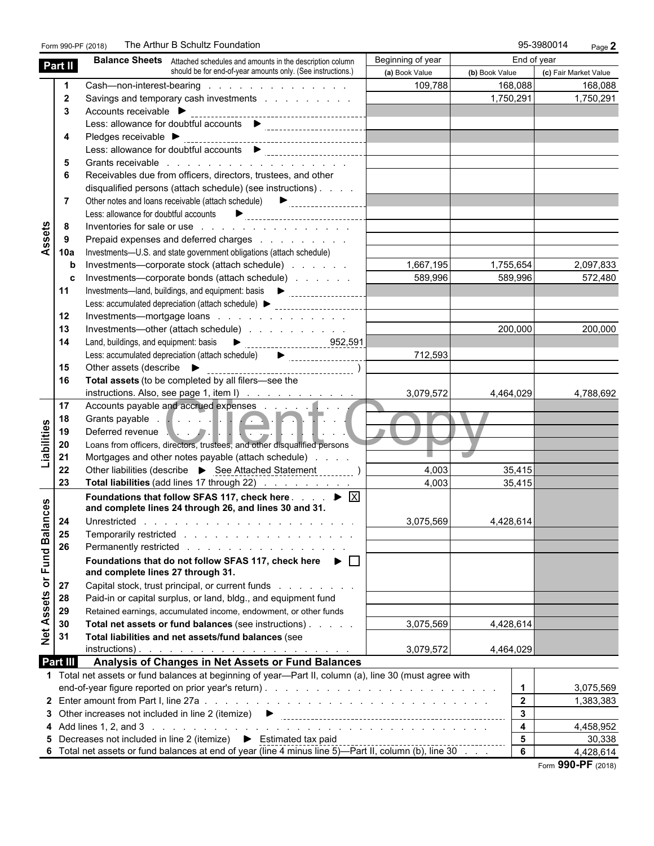|                            |                | The Arthur B Schultz Foundation<br>Form 990-PF (2018)                                                                                                                                                                          |                                                                                                                      |                         | 95-3980014<br>Page 2  |
|----------------------------|----------------|--------------------------------------------------------------------------------------------------------------------------------------------------------------------------------------------------------------------------------|----------------------------------------------------------------------------------------------------------------------|-------------------------|-----------------------|
| Part II                    |                | <b>Balance Sheets</b> Attached schedules and amounts in the description column                                                                                                                                                 | Beginning of year                                                                                                    |                         | End of year           |
|                            |                | should be for end-of-year amounts only. (See instructions.)                                                                                                                                                                    | (a) Book Value                                                                                                       | (b) Book Value          | (c) Fair Market Value |
|                            | $\mathbf 1$    | Cash-non-interest-bearing                                                                                                                                                                                                      | 109,788                                                                                                              | 168,088                 | 168,088               |
|                            | $\overline{2}$ | Savings and temporary cash investments                                                                                                                                                                                         |                                                                                                                      | 1,750,291               | 1,750,291             |
|                            | 3              | Accounts receivable ▶                                                                                                                                                                                                          |                                                                                                                      |                         |                       |
|                            |                | Less: allowance for doubtful accounts   statements and the contract of the statement of the statement of the statement of the statement of the statement of the statement of the statement of the statement of the statement o |                                                                                                                      |                         |                       |
|                            | 4              |                                                                                                                                                                                                                                |                                                                                                                      |                         |                       |
|                            |                | Less: allowance for doubtful accounts<br><br><br><br><br><br><br><br><br><br><br><br><br><br><br><br><br><br><br><br><br><br><br><br>                                                                                          |                                                                                                                      |                         |                       |
|                            | 5              |                                                                                                                                                                                                                                |                                                                                                                      |                         |                       |
|                            | 6              | Receivables due from officers, directors, trustees, and other                                                                                                                                                                  |                                                                                                                      |                         |                       |
|                            |                | disqualified persons (attach schedule) (see instructions)                                                                                                                                                                      |                                                                                                                      |                         |                       |
|                            | 7              |                                                                                                                                                                                                                                |                                                                                                                      |                         |                       |
|                            |                |                                                                                                                                                                                                                                |                                                                                                                      |                         |                       |
|                            | 8              | Inventories for sale or use reader and contact the contact of the sale or use of the contact of the contact of the contact of the contact of the contact of the contact of the contact of the contact of the contact of the co |                                                                                                                      |                         |                       |
| Assets                     | 9              | Prepaid expenses and deferred charges                                                                                                                                                                                          |                                                                                                                      |                         |                       |
|                            | 10a            | Investments--U.S. and state government obligations (attach schedule)                                                                                                                                                           |                                                                                                                      |                         |                       |
|                            | b              | Investments—corporate stock (attach schedule)                                                                                                                                                                                  | 1,667,195                                                                                                            | 1,755,654               | 2,097,833             |
|                            | c              | Investments—corporate bonds (attach schedule)                                                                                                                                                                                  | 589,996                                                                                                              | 589,996                 | 572,480               |
|                            | 11             |                                                                                                                                                                                                                                |                                                                                                                      |                         |                       |
|                            |                | Less: accumulated depreciation (attach schedule) > _____________________________                                                                                                                                               |                                                                                                                      |                         |                       |
|                            | 12             | Investments—mortgage loans                                                                                                                                                                                                     | <u> Listen van die Bergere van die Stadt van die Stadt van die Stadt van die Stadt van die Stadt van die Stadt v</u> |                         |                       |
|                            | 13             | Investments—other (attach schedule)                                                                                                                                                                                            |                                                                                                                      | 200.000                 | 200,000               |
|                            | 14             |                                                                                                                                                                                                                                |                                                                                                                      |                         |                       |
|                            |                | Less: accumulated depreciation (attach schedule) $\qquad \qquad \blacktriangleright$                                                                                                                                           | 712,593                                                                                                              |                         |                       |
|                            | 15             |                                                                                                                                                                                                                                |                                                                                                                      |                         |                       |
|                            | 16             | Total assets (to be completed by all filers-see the                                                                                                                                                                            |                                                                                                                      |                         |                       |
|                            |                | instructions. Also, see page 1, item I)                                                                                                                                                                                        | 3,079,572                                                                                                            | 4,464,029               | 4,788,692             |
|                            | 17             | Accounts payable and accrued expenses                                                                                                                                                                                          |                                                                                                                      |                         |                       |
|                            | 18             |                                                                                                                                                                                                                                |                                                                                                                      |                         |                       |
| Liabilities                | 19             | Grants payable<br>Deferred revenue                                                                                                                                                                                             |                                                                                                                      |                         |                       |
|                            | 20             | Loans from officers, directors, trustees, and other disqualified persons                                                                                                                                                       |                                                                                                                      |                         |                       |
|                            | 21             | Mortgages and other notes payable (attach schedule)                                                                                                                                                                            |                                                                                                                      | $\mathcal{L}$           |                       |
|                            | 22             | Other liabilities (describe > See Attached Statement )                                                                                                                                                                         | 4,003                                                                                                                | 35,415                  |                       |
|                            | 23             | Total liabilities (add lines 17 through 22)                                                                                                                                                                                    | 4,003                                                                                                                | 35,415                  |                       |
|                            |                | Foundations that follow SFAS 117, check here $\ldots$ $\blacktriangleright \;$ $\boxed{\times}$                                                                                                                                |                                                                                                                      |                         |                       |
| w                          |                | and complete lines 24 through 26, and lines 30 and 31.                                                                                                                                                                         |                                                                                                                      |                         |                       |
|                            |                |                                                                                                                                                                                                                                | 3,075,569                                                                                                            | 4,428,614               |                       |
|                            | 25             |                                                                                                                                                                                                                                |                                                                                                                      |                         |                       |
|                            | 26             | Permanently restricted                                                                                                                                                                                                         |                                                                                                                      |                         |                       |
| Net Assets or Fund Balance |                | Foundations that do not follow SFAS 117, check here $\blacktriangleright \Box$                                                                                                                                                 |                                                                                                                      |                         |                       |
|                            |                | and complete lines 27 through 31.                                                                                                                                                                                              |                                                                                                                      |                         |                       |
|                            | 27             | Capital stock, trust principal, or current funds                                                                                                                                                                               |                                                                                                                      |                         |                       |
|                            | 28             | Paid-in or capital surplus, or land, bldg., and equipment fund                                                                                                                                                                 |                                                                                                                      |                         |                       |
|                            | 29             | Retained earnings, accumulated income, endowment, or other funds                                                                                                                                                               |                                                                                                                      |                         |                       |
|                            | 30             | Total net assets or fund balances (see instructions)                                                                                                                                                                           | 3,075,569                                                                                                            | 4,428,614               |                       |
|                            | 31             | Total liabilities and net assets/fund balances (see                                                                                                                                                                            |                                                                                                                      |                         |                       |
|                            |                |                                                                                                                                                                                                                                | 3,079,572                                                                                                            | 4,464,029               |                       |
| Part III                   |                | Analysis of Changes in Net Assets or Fund Balances                                                                                                                                                                             |                                                                                                                      |                         |                       |
|                            |                | 1 Total net assets or fund balances at beginning of year—Part II, column (a), line 30 (must agree with                                                                                                                         |                                                                                                                      |                         |                       |
|                            |                |                                                                                                                                                                                                                                |                                                                                                                      | $\blacktriangleleft$    | 3,075,569             |
|                            |                |                                                                                                                                                                                                                                |                                                                                                                      | $\overline{2}$          | 1,383,383             |
|                            |                |                                                                                                                                                                                                                                |                                                                                                                      | $\overline{3}$          |                       |
|                            |                | 3 Other increases not included in line 2 (itemize)<br>$\bullet$                                                                                                                                                                |                                                                                                                      | $\overline{\mathbf{4}}$ |                       |
|                            |                |                                                                                                                                                                                                                                |                                                                                                                      | 5                       | 4,458,952             |
|                            |                | 5 Decreases not included in line 2 (itemize) > Estimated tax paid                                                                                                                                                              |                                                                                                                      | 6                       | 30,338                |
|                            |                | 6 Total net assets or fund balances at end of year (line 4 minus line 5)—Part II, column (b), line 30                                                                                                                          |                                                                                                                      |                         | 4,428,614             |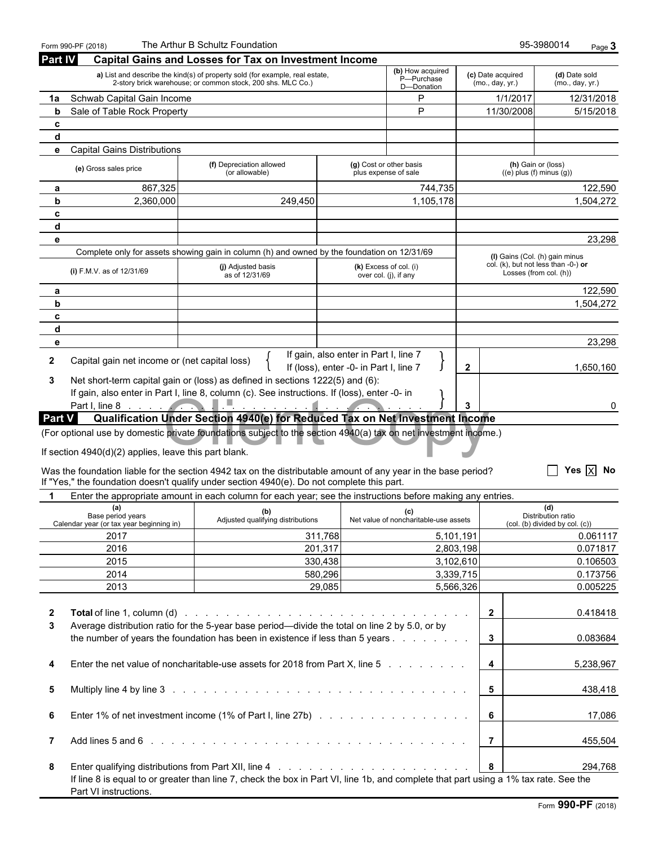|                | Form 990-PF (2018)                                                   | The Arthur B Schultz Foundation                                                                                                                                                                              |                                         |                                                   |                        |                                                                                                    | 95-3980014<br>Page 3                                        |
|----------------|----------------------------------------------------------------------|--------------------------------------------------------------------------------------------------------------------------------------------------------------------------------------------------------------|-----------------------------------------|---------------------------------------------------|------------------------|----------------------------------------------------------------------------------------------------|-------------------------------------------------------------|
| <b>Part IV</b> |                                                                      | <b>Capital Gains and Losses for Tax on Investment Income</b>                                                                                                                                                 |                                         |                                                   |                        |                                                                                                    |                                                             |
|                |                                                                      | a) List and describe the kind(s) of property sold (for example, real estate,<br>2-story brick warehouse; or common stock, 200 shs. MLC Co.)                                                                  |                                         | (b) How acquired<br>P-Purchase<br>D-Donation      |                        | (c) Date acquired<br>(mo., day, yr.)                                                               | (d) Date sold<br>(mo., day, yr.)                            |
| 1a             | Schwab Capital Gain Income                                           |                                                                                                                                                                                                              |                                         | P                                                 |                        | 1/1/2017                                                                                           | 12/31/2018                                                  |
| b              | Sale of Table Rock Property                                          |                                                                                                                                                                                                              |                                         | P                                                 |                        | 11/30/2008                                                                                         | 5/15/2018                                                   |
| c              |                                                                      |                                                                                                                                                                                                              |                                         |                                                   |                        |                                                                                                    |                                                             |
| d              |                                                                      |                                                                                                                                                                                                              |                                         |                                                   |                        |                                                                                                    |                                                             |
| е              | <b>Capital Gains Distributions</b>                                   |                                                                                                                                                                                                              |                                         |                                                   |                        |                                                                                                    |                                                             |
|                | (e) Gross sales price                                                | (f) Depreciation allowed<br>(or allowable)                                                                                                                                                                   |                                         | (g) Cost or other basis<br>plus expense of sale   |                        | (h) Gain or (loss)<br>$((e)$ plus $(f)$ minus $(g)$ )                                              |                                                             |
| а              | 867,325                                                              |                                                                                                                                                                                                              |                                         | 744,735                                           |                        |                                                                                                    | 122,590                                                     |
| b<br>c         | 2,360,000                                                            | 249,450                                                                                                                                                                                                      |                                         | 1,105,178                                         |                        |                                                                                                    | 1,504,272                                                   |
| d              |                                                                      |                                                                                                                                                                                                              |                                         |                                                   |                        |                                                                                                    |                                                             |
| e              |                                                                      |                                                                                                                                                                                                              |                                         |                                                   |                        |                                                                                                    | 23,298                                                      |
|                |                                                                      | Complete only for assets showing gain in column (h) and owned by the foundation on 12/31/69                                                                                                                  |                                         |                                                   |                        |                                                                                                    |                                                             |
|                | (i) F.M.V. as of 12/31/69                                            | (j) Adjusted basis<br>as of 12/31/69                                                                                                                                                                         |                                         | $(k)$ Excess of col. (i)<br>over col. (j), if any |                        | (I) Gains (Col. (h) gain minus<br>col. (k), but not less than $-0$ -) or<br>Losses (from col. (h)) |                                                             |
| а              |                                                                      |                                                                                                                                                                                                              |                                         |                                                   |                        |                                                                                                    | 122,590                                                     |
| b              |                                                                      |                                                                                                                                                                                                              |                                         |                                                   |                        |                                                                                                    | 1,504,272                                                   |
| c              |                                                                      |                                                                                                                                                                                                              |                                         |                                                   |                        |                                                                                                    |                                                             |
| d              |                                                                      |                                                                                                                                                                                                              |                                         |                                                   |                        |                                                                                                    |                                                             |
| е              |                                                                      |                                                                                                                                                                                                              | If gain, also enter in Part I, line 7   |                                                   |                        |                                                                                                    | 23,298                                                      |
| $\mathbf{2}$   | Capital gain net income or (net capital loss)                        |                                                                                                                                                                                                              | If (loss), enter -0- in Part I, line 7  |                                                   | $\mathbf{2}$           |                                                                                                    | 1,650,160                                                   |
| 3              |                                                                      | Net short-term capital gain or (loss) as defined in sections 1222(5) and (6):<br>If gain, also enter in Part I, line 8, column (c). See instructions. If (loss), enter -0- in                                |                                         |                                                   |                        |                                                                                                    |                                                             |
| <b>Part V</b>  |                                                                      | Qualification Under Section 4940(e) for Reduced Tax on Net Investment Income                                                                                                                                 | <b>Contract</b><br>$\sim$ $\sim$ $\sim$ |                                                   |                        |                                                                                                    | 0                                                           |
|                | If section 4940(d)(2) applies, leave this part blank.                | Was the foundation liable for the section 4942 tax on the distributable amount of any year in the base period?<br>If "Yes," the foundation doesn't qualify under section 4940(e). Do not complete this part. |                                         |                                                   |                        |                                                                                                    | Yes $\overline{X}$ No                                       |
|                |                                                                      | Enter the appropriate amount in each column for each year; see the instructions before making any entries.                                                                                                   |                                         |                                                   |                        |                                                                                                    |                                                             |
|                | (a)<br>Base period years<br>Calendar year (or tax year beginning in) | (b)<br>Adjusted qualifying distributions                                                                                                                                                                     |                                         | (c)<br>Net value of noncharitable-use assets      |                        |                                                                                                    | (d)<br>Distribution ratio<br>(col. (b) divided by col. (c)) |
|                | 2017                                                                 |                                                                                                                                                                                                              | 311,768                                 | 5,101,191                                         |                        |                                                                                                    | 0.061117                                                    |
|                | 2016                                                                 |                                                                                                                                                                                                              | 201,317                                 |                                                   | 2,803,198              |                                                                                                    | 0.071817                                                    |
|                | 2015                                                                 |                                                                                                                                                                                                              | 330,438                                 |                                                   | 3,102,610              |                                                                                                    | 0.106503                                                    |
|                | 2014<br>2013                                                         |                                                                                                                                                                                                              | 580,296<br>29,085                       |                                                   | 3,339,715<br>5,566,326 |                                                                                                    | 0.173756<br>0.005225                                        |
|                |                                                                      |                                                                                                                                                                                                              |                                         |                                                   |                        |                                                                                                    |                                                             |
| $\mathbf{2}$   |                                                                      | <b>Total</b> of line 1, column (d) $\ldots$ $\ldots$ $\ldots$ $\ldots$ $\ldots$ $\ldots$ $\ldots$ $\ldots$ $\ldots$ $\ldots$ $\ldots$ $\ldots$                                                               |                                         |                                                   |                        | $\overline{2}$                                                                                     | 0.418418                                                    |
| 3              |                                                                      | Average distribution ratio for the 5-year base period—divide the total on line 2 by 5.0, or by                                                                                                               |                                         |                                                   |                        |                                                                                                    |                                                             |
|                |                                                                      | the number of years the foundation has been in existence if less than 5 years                                                                                                                                |                                         |                                                   |                        | 3 <sup>1</sup>                                                                                     | 0.083684                                                    |
| 4              |                                                                      | Enter the net value of noncharitable-use assets for 2018 from Part X, line 5                                                                                                                                 |                                         |                                                   |                        | $\overline{\mathbf{4}}$<br>5,238,967                                                               |                                                             |
| 5              |                                                                      |                                                                                                                                                                                                              |                                         |                                                   |                        | 5 <sup>5</sup><br>438,418                                                                          |                                                             |
| 6              |                                                                      |                                                                                                                                                                                                              |                                         |                                                   |                        | 6<br>17,086                                                                                        |                                                             |
| $\overline{7}$ |                                                                      |                                                                                                                                                                                                              |                                         |                                                   |                        | $7^{\circ}$                                                                                        | 455,504                                                     |
| 8              |                                                                      | If line 8 is equal to or greater than line 7, check the box in Part VI, line 1b, and complete that part using a 1% tax rate. See the                                                                         |                                         |                                                   |                        | 8                                                                                                  | 294,768                                                     |
|                | Part VI instructions.                                                |                                                                                                                                                                                                              |                                         |                                                   |                        |                                                                                                    |                                                             |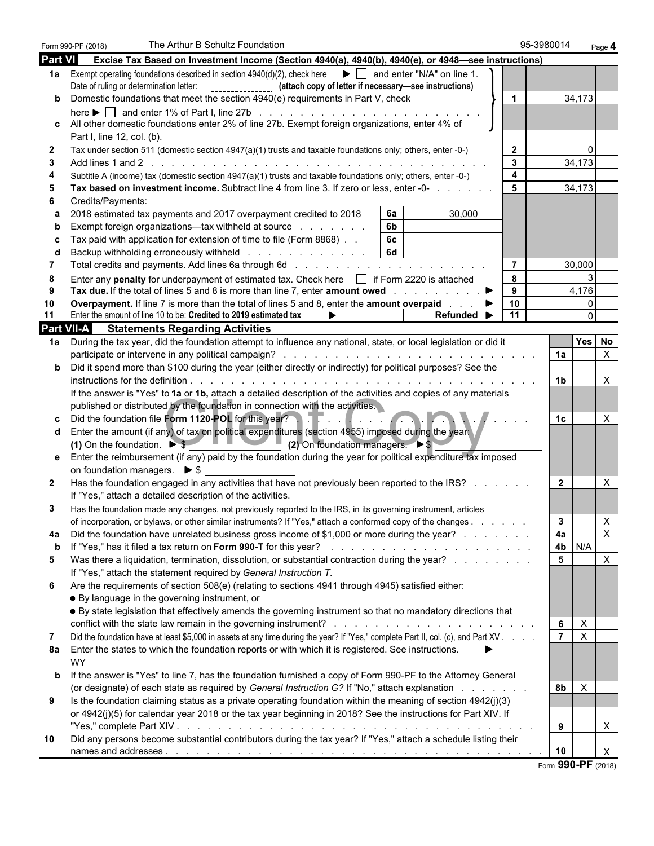|                | Form 990-PF (2018)                          | The Arthur B Schultz Foundation                                                                                                                                                                                                            |                                |                         | 95-3980014     | Page 4                                  |  |
|----------------|---------------------------------------------|--------------------------------------------------------------------------------------------------------------------------------------------------------------------------------------------------------------------------------------------|--------------------------------|-------------------------|----------------|-----------------------------------------|--|
| <b>Part VI</b> |                                             | Excise Tax Based on Investment Income (Section 4940(a), 4940(b), 4940(e), or 4948-see instructions)                                                                                                                                        |                                |                         |                |                                         |  |
|                |                                             | 1a Exempt operating foundations described in section $4940(d)(2)$ , check here $\bullet$ and enter "N/A" on line 1.<br>Date of ruling or determination letter: [10] [2012] [2012] (attach copy of letter if necessary—see instructions)    |                                |                         |                |                                         |  |
| b              |                                             | Domestic foundations that meet the section 4940(e) requirements in Part V, check                                                                                                                                                           |                                | $\blacktriangleleft$    |                | 34,173                                  |  |
|                |                                             | here $\blacktriangleright \Box$ and enter 1% of Part I, line 27b $\ldots \ldots \ldots \ldots \ldots \ldots \ldots \ldots \ldots \ldots$<br>All other domestic foundations enter 2% of line 27b. Exempt foreign organizations, enter 4% of |                                |                         |                |                                         |  |
|                | Part I, line 12, col. (b).                  |                                                                                                                                                                                                                                            |                                |                         |                |                                         |  |
| 2              |                                             | Tax under section 511 (domestic section 4947(a)(1) trusts and taxable foundations only; others, enter -0-)                                                                                                                                 |                                | $\mathbf{2}$            |                | 0                                       |  |
| 3              |                                             |                                                                                                                                                                                                                                            |                                | $\mathbf{3}$            |                | 34,173                                  |  |
|                |                                             | Subtitle A (income) tax (domestic section 4947(a)(1) trusts and taxable foundations only; others, enter -0-)                                                                                                                               |                                | $\overline{\mathbf{4}}$ |                |                                         |  |
| 5              |                                             | Tax based on investment income. Subtract line 4 from line 3. If zero or less, enter -0-                                                                                                                                                    |                                | 5                       |                | 34,173                                  |  |
|                | Credits/Payments:                           | 6a                                                                                                                                                                                                                                         | 30,000                         |                         |                |                                         |  |
| a              |                                             | 2018 estimated tax payments and 2017 overpayment credited to 2018<br>6 <sub>b</sub><br>Exempt foreign organizations—tax withheld at source                                                                                                 |                                |                         |                |                                         |  |
|                |                                             | 6c<br>Tax paid with application for extension of time to file (Form 8868).                                                                                                                                                                 |                                |                         |                |                                         |  |
|                |                                             | <b>6d</b><br>Backup withholding erroneously withheld                                                                                                                                                                                       |                                |                         |                |                                         |  |
| 7              |                                             |                                                                                                                                                                                                                                            |                                | $\overline{7}$          |                | 30,000                                  |  |
| 8              |                                             | Enter any penalty for underpayment of estimated tax. Check here if Form 2220 is attached                                                                                                                                                   |                                | 8                       |                |                                         |  |
| 9              |                                             | Tax due. If the total of lines 5 and 8 is more than line 7, enter amount owed                                                                                                                                                              |                                | 9                       |                | 4,176                                   |  |
| 10             |                                             | <b>Overpayment.</b> If line 7 is more than the total of lines 5 and 8, enter the <b>amount overpaid</b>                                                                                                                                    |                                | 10                      |                | $\mathbf{0}$                            |  |
| 11             |                                             | Enter the amount of line 10 to be: Credited to 2019 estimated tax                                                                                                                                                                          | Refunded $\blacktriangleright$ | 11                      |                | $\Omega$                                |  |
|                |                                             | <b>Part VII-A</b> Statements Regarding Activities                                                                                                                                                                                          |                                |                         |                |                                         |  |
| 1a l           |                                             | During the tax year, did the foundation attempt to influence any national, state, or local legislation or did it                                                                                                                           |                                |                         | 1a             | <b>Yes</b><br><b>No</b><br>$\mathsf{X}$ |  |
| b              |                                             | Did it spend more than \$100 during the year (either directly or indirectly) for political purposes? See the                                                                                                                               |                                |                         |                |                                         |  |
|                |                                             |                                                                                                                                                                                                                                            |                                |                         | 1b             | Χ                                       |  |
|                |                                             | If the answer is "Yes" to 1a or 1b, attach a detailed description of the activities and copies of any materials                                                                                                                            |                                |                         |                |                                         |  |
|                |                                             | published or distributed by the foundation in connection with the activities.                                                                                                                                                              |                                |                         |                |                                         |  |
|                |                                             | Did the foundation file Form 1120-POL for this year?                                                                                                                                                                                       |                                |                         | 1c             | Χ                                       |  |
| d              |                                             | Enter the amount (if any) of tax on political expenditures (section 4955) imposed during the year                                                                                                                                          |                                |                         |                |                                         |  |
|                |                                             | (1) On the foundation. $\triangleright$ \$ (2) On foundation managers. $\triangleright$ \$                                                                                                                                                 |                                |                         |                |                                         |  |
|                |                                             | Enter the reimbursement (if any) paid by the foundation during the year for political expenditure tax imposed                                                                                                                              |                                |                         |                |                                         |  |
|                | on foundation managers. $\triangleright$ \$ |                                                                                                                                                                                                                                            |                                |                         |                |                                         |  |
| $\mathbf{2}$   |                                             | Has the foundation engaged in any activities that have not previously been reported to the IRS?<br>If "Yes," attach a detailed description of the activities.                                                                              |                                |                         | $\mathbf{2}$   | X                                       |  |
| 3              |                                             | Has the foundation made any changes, not previously reported to the IRS, in its governing instrument, articles                                                                                                                             |                                |                         |                |                                         |  |
|                |                                             | of incorporation, or bylaws, or other similar instruments? If "Yes," attach a conformed copy of the changes                                                                                                                                |                                |                         | 3              | X.                                      |  |
| 4a             |                                             | Did the foundation have unrelated business gross income of \$1,000 or more during the year?                                                                                                                                                |                                |                         | 4a             | $\pmb{\times}$                          |  |
| b              |                                             |                                                                                                                                                                                                                                            |                                |                         | 4b             | N/A                                     |  |
| 5              |                                             | Was there a liquidation, termination, dissolution, or substantial contraction during the year?                                                                                                                                             |                                |                         | 5              | X                                       |  |
|                |                                             | If "Yes," attach the statement required by General Instruction T.                                                                                                                                                                          |                                |                         |                |                                         |  |
| 6              |                                             | Are the requirements of section 508(e) (relating to sections 4941 through 4945) satisfied either:                                                                                                                                          |                                |                         |                |                                         |  |
|                |                                             | • By language in the governing instrument, or<br>• By state legislation that effectively amends the governing instrument so that no mandatory directions that                                                                              |                                |                         |                |                                         |  |
|                |                                             |                                                                                                                                                                                                                                            |                                |                         | 6              | X                                       |  |
| 7              |                                             | Did the foundation have at least \$5,000 in assets at any time during the year? If "Yes," complete Part II, col. (c), and Part XV                                                                                                          |                                |                         | $\overline{7}$ | X                                       |  |
| 8а             |                                             | Enter the states to which the foundation reports or with which it is registered. See instructions.                                                                                                                                         |                                |                         |                |                                         |  |
|                | WY                                          |                                                                                                                                                                                                                                            |                                |                         |                |                                         |  |
| b              |                                             | If the answer is "Yes" to line 7, has the foundation furnished a copy of Form 990-PF to the Attorney General                                                                                                                               |                                |                         |                |                                         |  |
|                |                                             | (or designate) of each state as required by General Instruction G? If "No," attach explanation                                                                                                                                             |                                |                         | 8b             | X                                       |  |
| 9              |                                             | Is the foundation claiming status as a private operating foundation within the meaning of section 4942(j)(3)                                                                                                                               |                                |                         |                |                                         |  |
|                |                                             | or 4942(j)(5) for calendar year 2018 or the tax year beginning in 2018? See the instructions for Part XIV. If                                                                                                                              |                                |                         |                |                                         |  |
|                |                                             | Did any persons become substantial contributors during the tax year? If "Yes," attach a schedule listing their                                                                                                                             |                                |                         | 9              | X                                       |  |
| 10             |                                             |                                                                                                                                                                                                                                            |                                |                         | 10             | X                                       |  |
|                |                                             |                                                                                                                                                                                                                                            |                                |                         |                | <b>OOO DE</b>                           |  |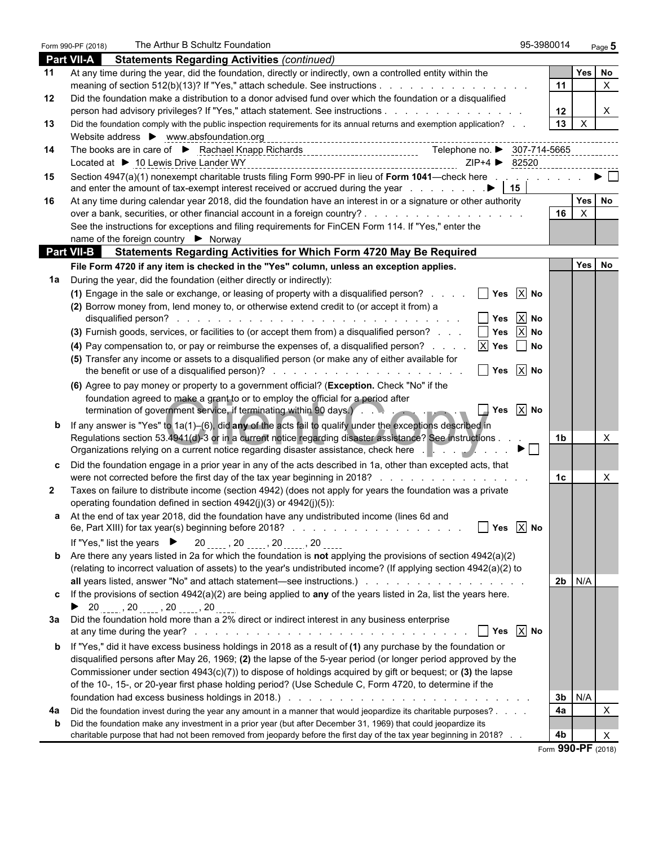|              | The Arthur B Schultz Foundation<br>Form 990-PF (2018)                                                                                                                                                                         | 95-3980014                                         |                |                           | Page 5                         |
|--------------|-------------------------------------------------------------------------------------------------------------------------------------------------------------------------------------------------------------------------------|----------------------------------------------------|----------------|---------------------------|--------------------------------|
|              | <b>Part VII-A</b><br><b>Statements Regarding Activities (continued)</b>                                                                                                                                                       |                                                    |                |                           |                                |
| 11           | At any time during the year, did the foundation, directly or indirectly, own a controlled entity within the                                                                                                                   |                                                    |                | <b>Yes</b>                | No                             |
|              | meaning of section 512(b)(13)? If "Yes," attach schedule. See instructions                                                                                                                                                    |                                                    | 11             |                           | $\mathsf{X}$                   |
| 12           | Did the foundation make a distribution to a donor advised fund over which the foundation or a disqualified                                                                                                                    |                                                    |                |                           |                                |
|              | person had advisory privileges? If "Yes," attach statement. See instructions                                                                                                                                                  |                                                    | 12             |                           | X.                             |
| 13           | Did the foundation comply with the public inspection requirements for its annual returns and exemption application?                                                                                                           |                                                    | 13             | X                         |                                |
|              | Website address > www.absfoundation.org                                                                                                                                                                                       |                                                    |                |                           |                                |
| 14           | The books are in care of ▶ Rachael Knapp Richards<br>Telephone no. ▶ 307-714-5665<br>Located at ▶ 10 Lewis Drive Lander WY                                                                                                    |                                                    |                |                           |                                |
| 15           | Section 4947(a)(1) nonexempt charitable trusts filing Form 990-PF in lieu of Form 1041—check here                                                                                                                             |                                                    |                |                           | $\blacktriangleright$ $\vdash$ |
|              |                                                                                                                                                                                                                               |                                                    |                |                           |                                |
| 16           | At any time during calendar year 2018, did the foundation have an interest in or a signature or other authority                                                                                                               |                                                    |                |                           | Yes No                         |
|              |                                                                                                                                                                                                                               |                                                    | 16             | $\boldsymbol{\mathsf{X}}$ |                                |
|              | See the instructions for exceptions and filing requirements for FinCEN Form 114. If "Yes," enter the                                                                                                                          |                                                    |                |                           |                                |
|              | name of the foreign country ▶ Norway                                                                                                                                                                                          |                                                    |                |                           |                                |
|              | <b>Part VII-B</b> Statements Regarding Activities for Which Form 4720 May Be Required                                                                                                                                         |                                                    |                |                           |                                |
|              | File Form 4720 if any item is checked in the "Yes" column, unless an exception applies.                                                                                                                                       |                                                    |                |                           | Yes No                         |
| 1a           | During the year, did the foundation (either directly or indirectly):                                                                                                                                                          |                                                    |                |                           |                                |
|              | (1) Engage in the sale or exchange, or leasing of property with a disqualified person?                                                                                                                                        | $\Box$ Yes $\overline{X}$ No                       |                |                           |                                |
|              | (2) Borrow money from, lend money to, or otherwise extend credit to (or accept it from) a                                                                                                                                     | $\boxed{\phantom{1}}$ Yes $\boxed{\phantom{1}}$ No |                |                           |                                |
|              | (3) Furnish goods, services, or facilities to (or accept them from) a disqualified person?                                                                                                                                    | $\Box$ Yes $\overline{X}$ No                       |                |                           |                                |
|              | (4) Pay compensation to, or pay or reimburse the expenses of, a disqualified person? $\mathbb{X}$ Yes $\Box$ No                                                                                                               |                                                    |                |                           |                                |
|              | (5) Transfer any income or assets to a disqualified person (or make any of either available for                                                                                                                               |                                                    |                |                           |                                |
|              | $\sqrt{ }$ Yes $\sqrt{ }$ No                                                                                                                                                                                                  |                                                    |                |                           |                                |
|              | (6) Agree to pay money or property to a government official? (Exception. Check "No" if the                                                                                                                                    |                                                    |                |                           |                                |
|              | foundation agreed to make a grant to or to employ the official for a period after                                                                                                                                             |                                                    |                |                           |                                |
|              | termination of government service, if terminating within 90 days. And all contact the contact of the contact of                                                                                                               | $\sqrt{ }$ Yes $\sqrt{ }$ No                       |                |                           |                                |
|              | If any answer is "Yes" to 1a(1)-(6), did any of the acts fail to qualify under the exceptions described in                                                                                                                    |                                                    |                |                           |                                |
|              | Regulations section 53.4941(d)-3 or in a current notice regarding disaster assistance? See instructions                                                                                                                       |                                                    | 1b             |                           | X                              |
|              | Organizations relying on a current notice regarding disaster assistance, check here enterprise of the set of the D                                                                                                            |                                                    |                |                           |                                |
|              | Did the foundation engage in a prior year in any of the acts described in 1a, other than excepted acts, that                                                                                                                  |                                                    |                |                           |                                |
|              | were not corrected before the first day of the tax year beginning in 2018?                                                                                                                                                    |                                                    | 1c             |                           | Χ                              |
| $\mathbf{2}$ | Taxes on failure to distribute income (section 4942) (does not apply for years the foundation was a private<br>operating foundation defined in section 4942(j)(3) or 4942(j)(5)):                                             |                                                    |                |                           |                                |
|              | a At the end of tax year 2018, did the foundation have any undistributed income (lines 6d and                                                                                                                                 |                                                    |                |                           |                                |
|              |                                                                                                                                                                                                                               | $\boxed{\phantom{1}}$ Yes $\boxed{\phantom{1}}$ No |                |                           |                                |
|              | If "Yes," list the years $\triangleright$ 20, 20, 20, 20, 20                                                                                                                                                                  |                                                    |                |                           |                                |
|              | Are there any years listed in 2a for which the foundation is not applying the provisions of section $4942(a)(2)$                                                                                                              |                                                    |                |                           |                                |
|              | (relating to incorrect valuation of assets) to the year's undistributed income? (If applying section 4942(a)(2) to                                                                                                            |                                                    |                |                           |                                |
|              |                                                                                                                                                                                                                               |                                                    | 2 <sub>b</sub> | N/A                       |                                |
|              | If the provisions of section $4942(a)(2)$ are being applied to any of the years listed in 2a, list the years here.                                                                                                            |                                                    |                |                           |                                |
|              |                                                                                                                                                                                                                               |                                                    |                |                           |                                |
|              | 3a Did the foundation hold more than a 2% direct or indirect interest in any business enterprise                                                                                                                              |                                                    |                |                           |                                |
|              |                                                                                                                                                                                                                               |                                                    |                |                           |                                |
|              | If "Yes," did it have excess business holdings in 2018 as a result of (1) any purchase by the foundation or                                                                                                                   |                                                    |                |                           |                                |
|              | disqualified persons after May 26, 1969; (2) the lapse of the 5-year period (or longer period approved by the<br>Commissioner under section $4943(c)(7)$ to dispose of holdings acquired by gift or bequest; or (3) the lapse |                                                    |                |                           |                                |
|              | of the 10-, 15-, or 20-year first phase holding period? (Use Schedule C, Form 4720, to determine if the                                                                                                                       |                                                    |                |                           |                                |
|              | foundation had excess business holdings in 2018.) And South American American American American American American American American American American American American American American American American American American |                                                    | 3b             | N/A                       |                                |
| 4a           | Did the foundation invest during the year any amount in a manner that would jeopardize its charitable purposes?                                                                                                               |                                                    | 4a             |                           | X                              |
|              | Did the foundation make any investment in a prior year (but after December 31, 1969) that could jeopardize its                                                                                                                |                                                    |                |                           |                                |
|              | charitable purpose that had not been removed from jeopardy before the first day of the tax year beginning in 2018?                                                                                                            |                                                    | 4b             |                           | Х                              |
|              |                                                                                                                                                                                                                               |                                                    |                |                           | $000$ DE $(0010)$              |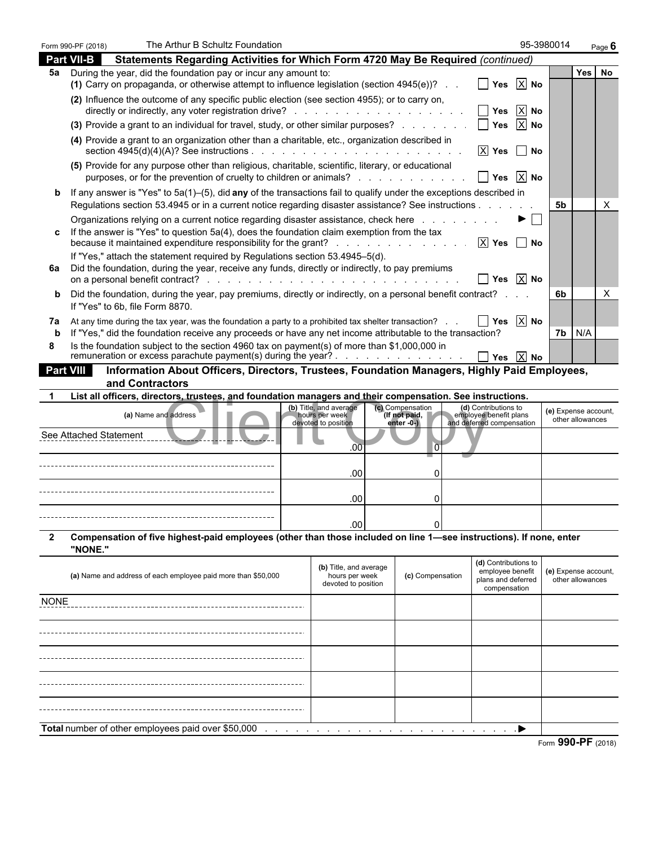|                  | Form 990-PF (2018)     | The Arthur B Schultz Foundation                                                                                                                                                                                                                                                |                                                                 |                               |                                                                                | 95-3980014           |                  | Page $6$ |
|------------------|------------------------|--------------------------------------------------------------------------------------------------------------------------------------------------------------------------------------------------------------------------------------------------------------------------------|-----------------------------------------------------------------|-------------------------------|--------------------------------------------------------------------------------|----------------------|------------------|----------|
|                  | <b>Part VII-B</b>      | Statements Regarding Activities for Which Form 4720 May Be Required (continued)                                                                                                                                                                                                |                                                                 |                               |                                                                                |                      |                  |          |
| 5а               |                        | During the year, did the foundation pay or incur any amount to:<br>(1) Carry on propaganda, or otherwise attempt to influence legislation (section $4945(e)$ )?                                                                                                                |                                                                 |                               | $\blacksquare$ Yes $\blacksquare$ No                                           |                      | Yes              | No       |
|                  |                        | (2) Influence the outcome of any specific public election (see section 4955); or to carry on,                                                                                                                                                                                  |                                                                 |                               | $\boxed{\phantom{1}}$ Yes $\boxed{\phantom{1}}$ No                             |                      |                  |          |
|                  |                        | (3) Provide a grant to an individual for travel, study, or other similar purposes?                                                                                                                                                                                             |                                                                 |                               | $\boxed{\phantom{1}}$ Yes $\boxed{\phantom{1}}$ No                             |                      |                  |          |
|                  |                        | (4) Provide a grant to an organization other than a charitable, etc., organization described in                                                                                                                                                                                |                                                                 |                               | $X$ Yes $\Box$ No                                                              |                      |                  |          |
|                  |                        | (5) Provide for any purpose other than religious, charitable, scientific, literary, or educational<br>purposes, or for the prevention of cruelty to children or animals?                                                                                                       |                                                                 |                               | $\boxed{\phantom{1}}$ Yes $\boxed{\phantom{1}}$ No                             |                      |                  |          |
| b                |                        | If any answer is "Yes" to 5a(1)-(5), did any of the transactions fail to qualify under the exceptions described in<br>Regulations section 53.4945 or in a current notice regarding disaster assistance? See instructions                                                       |                                                                 |                               |                                                                                | <b>5b</b>            |                  | X        |
| C.               |                        | Organizations relying on a current notice regarding disaster assistance, check here residence is a contact of<br>If the answer is "Yes" to question 5a(4), does the foundation claim exemption from the tax<br>because it maintained expenditure responsibility for the grant? |                                                                 |                               | $\blacktriangleright \Box$<br>$X$ Yes $\Box$ No                                |                      |                  |          |
| 6а               |                        | If "Yes," attach the statement required by Regulations section 53.4945–5(d).<br>Did the foundation, during the year, receive any funds, directly or indirectly, to pay premiums                                                                                                |                                                                 |                               | $\Box$ Yes $\overline{X}$ No                                                   |                      |                  |          |
| b                |                        | Did the foundation, during the year, pay premiums, directly or indirectly, on a personal benefit contract?<br>If "Yes" to 6b, file Form 8870.                                                                                                                                  |                                                                 |                               |                                                                                | 6b                   |                  | х        |
| 7a<br>b          |                        | At any time during the tax year, was the foundation a party to a prohibited tax shelter transaction?<br>If "Yes," did the foundation receive any proceeds or have any net income attributable to the transaction?                                                              |                                                                 |                               | $\boxed{\phantom{1}}$ Yes $\boxed{\phantom{1}}$ No                             | 7b.                  | N/A              |          |
| 8                |                        | Is the foundation subject to the section 4960 tax on payment(s) of more than \$1,000,000 in<br>remuneration or excess parachute payment(s) during the year?                                                                                                                    |                                                                 |                               | $\Box$ Yes $\overline{X}$ No                                                   |                      |                  |          |
| <b>Part VIII</b> |                        | Information About Officers, Directors, Trustees, Foundation Managers, Highly Paid Employees,                                                                                                                                                                                   |                                                                 |                               |                                                                                |                      |                  |          |
|                  |                        | and Contractors                                                                                                                                                                                                                                                                |                                                                 |                               |                                                                                |                      |                  |          |
|                  |                        | List all officers, directors, trustees, and foundation managers and their compensation. See instructions.                                                                                                                                                                      | (b) Title, and average                                          | (c) Compensation              | (d) Contributions to                                                           |                      |                  |          |
|                  |                        | (a) Name and address                                                                                                                                                                                                                                                           | hours per week<br>devoted to position                           | (If not paid,<br>$enter -0 -$ | employee benefit plans<br>and deferred compensation                            | (e) Expense account, | other allowances |          |
|                  | See Attached Statement |                                                                                                                                                                                                                                                                                | .00                                                             | $\overline{0}$                |                                                                                |                      |                  |          |
|                  |                        |                                                                                                                                                                                                                                                                                | .00                                                             | 0                             |                                                                                |                      |                  |          |
|                  |                        |                                                                                                                                                                                                                                                                                | .00                                                             | 0                             |                                                                                |                      |                  |          |
|                  |                        |                                                                                                                                                                                                                                                                                | .00 <sub>1</sub>                                                | $\overline{0}$                |                                                                                |                      |                  |          |
| 2                | "NONE."                | Compensation of five highest-paid employees (other than those included on line 1—see instructions). If none, enter                                                                                                                                                             |                                                                 |                               |                                                                                |                      |                  |          |
|                  |                        | (a) Name and address of each employee paid more than \$50,000                                                                                                                                                                                                                  | (b) Title, and average<br>hours per week<br>devoted to position | (c) Compensation              | (d) Contributions to<br>employee benefit<br>plans and deferred<br>compensation | (e) Expense account, | other allowances |          |
| <b>NONE</b>      |                        |                                                                                                                                                                                                                                                                                |                                                                 |                               |                                                                                |                      |                  |          |
|                  |                        |                                                                                                                                                                                                                                                                                |                                                                 |                               |                                                                                |                      |                  |          |
|                  |                        |                                                                                                                                                                                                                                                                                |                                                                 |                               |                                                                                |                      |                  |          |
|                  |                        |                                                                                                                                                                                                                                                                                |                                                                 |                               |                                                                                |                      |                  |          |
|                  |                        |                                                                                                                                                                                                                                                                                |                                                                 |                               |                                                                                |                      |                  |          |
|                  |                        |                                                                                                                                                                                                                                                                                |                                                                 |                               |                                                                                |                      |                  |          |
|                  |                        |                                                                                                                                                                                                                                                                                |                                                                 |                               |                                                                                |                      |                  |          |
|                  |                        | Total number of other employees paid over \$50,000                                                                                                                                                                                                                             |                                                                 |                               |                                                                                |                      |                  |          |
|                  |                        |                                                                                                                                                                                                                                                                                |                                                                 |                               |                                                                                |                      |                  |          |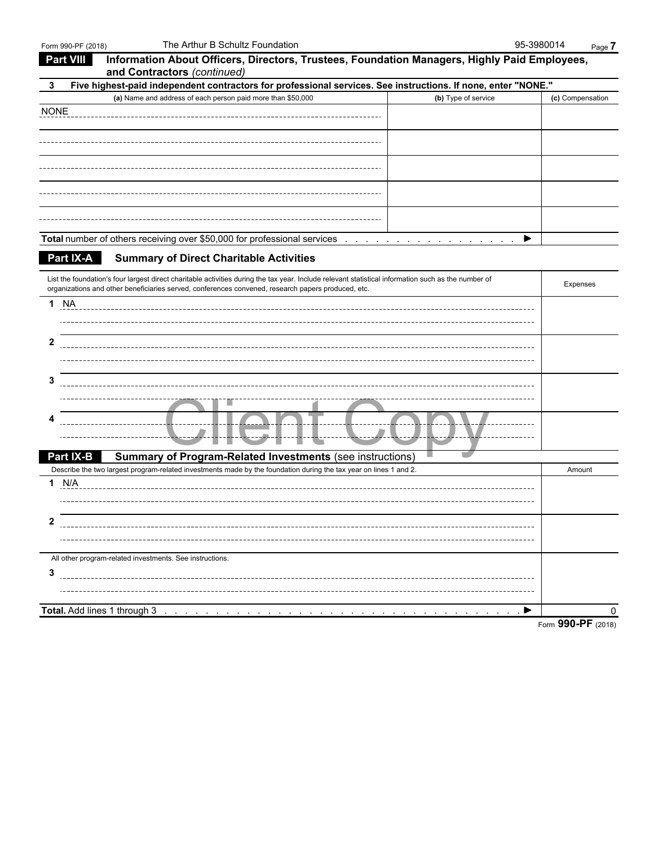| Information About Officers, Directors, Trustees, Foundation Managers, Highly Paid Employees,<br><b>Part VIII</b><br>and Contractors (continued)                                                                                 |                    |
|---------------------------------------------------------------------------------------------------------------------------------------------------------------------------------------------------------------------------------|--------------------|
| Five highest-paid independent contractors for professional services. See instructions. If none, enter "NONE."<br>3                                                                                                              |                    |
| (a) Name and address of each person paid more than \$50,000<br>(b) Type of service                                                                                                                                              | (c) Compensation   |
| <b>NONE</b>                                                                                                                                                                                                                     |                    |
|                                                                                                                                                                                                                                 |                    |
|                                                                                                                                                                                                                                 |                    |
|                                                                                                                                                                                                                                 |                    |
|                                                                                                                                                                                                                                 |                    |
|                                                                                                                                                                                                                                 |                    |
|                                                                                                                                                                                                                                 |                    |
|                                                                                                                                                                                                                                 |                    |
|                                                                                                                                                                                                                                 |                    |
| Total number of others receiving over \$50,000 for professional services enters and account of others in the service of the formula services of the number of others in the service of the formula service of the number of the | ▶                  |
| Part IX-A<br><b>Summary of Direct Charitable Activities</b>                                                                                                                                                                     |                    |
|                                                                                                                                                                                                                                 |                    |
| List the foundation's four largest direct charitable activities during the tax year. Include relevant statistical information such as the number of                                                                             | Expenses           |
| organizations and other beneficiaries served, conferences convened, research papers produced, etc.                                                                                                                              |                    |
| <b>1 NA</b>                                                                                                                                                                                                                     |                    |
|                                                                                                                                                                                                                                 |                    |
| 2                                                                                                                                                                                                                               |                    |
|                                                                                                                                                                                                                                 |                    |
|                                                                                                                                                                                                                                 |                    |
| 3                                                                                                                                                                                                                               |                    |
|                                                                                                                                                                                                                                 |                    |
|                                                                                                                                                                                                                                 |                    |
|                                                                                                                                                                                                                                 |                    |
| <b>Summary of Program-Related Investments (see instructions)</b><br>Part IX-B                                                                                                                                                   |                    |
| Describe the two largest program-related investments made by the foundation during the tax year on lines 1 and 2.                                                                                                               | Amount             |
| 1 N/A                                                                                                                                                                                                                           |                    |
|                                                                                                                                                                                                                                 |                    |
|                                                                                                                                                                                                                                 |                    |
| 2                                                                                                                                                                                                                               |                    |
|                                                                                                                                                                                                                                 |                    |
| All other program-related investments. See instructions.                                                                                                                                                                        |                    |
| 3                                                                                                                                                                                                                               |                    |
| ,一个人都是一个人的人,一个人都是一个人的人,一个人都是一个人的人,一个人都是一个人的人,一个人都是一个人的人,一个人都是一个人的人,一个人都是一个人的人,一个                                                                                                                                                |                    |
|                                                                                                                                                                                                                                 |                    |
|                                                                                                                                                                                                                                 | ▶                  |
|                                                                                                                                                                                                                                 | Form 990-PF (2018) |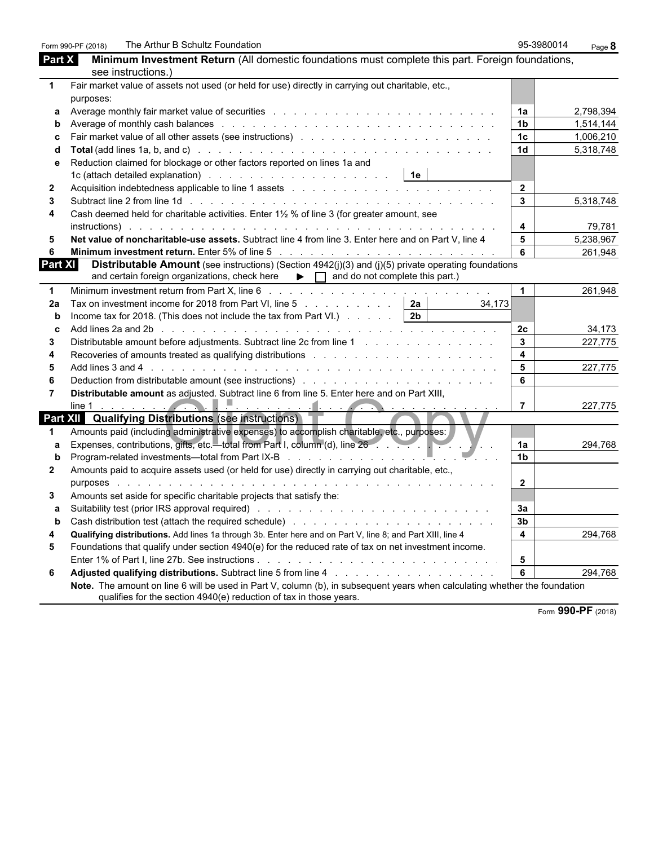| Minimum Investment Return (All domestic foundations must complete this part. Foreign foundations,<br>Part X<br>see instructions.)<br>Fair market value of assets not used (or held for use) directly in carrying out charitable, etc.,<br>1<br>purposes:<br>1a<br>а<br>1 <sub>b</sub><br>Average of monthly cash balances enterstated by the contract of the contract of the contract of the contract of the contract of the contract of the contract of the contract of the contract of the contract of the contract o<br>1 <sub>c</sub><br>1 <sub>d</sub><br>Reduction claimed for blockage or other factors reported on lines 1a and<br>$\overline{2}$<br>Acquisition indebtedness applicable to line 1 assets enter the content of the content of the content of the 1 assets and content of the content of the content of the content of the content of the content of the content of<br>2<br>$\overline{3}$<br>3<br>Cash deemed held for charitable activities. Enter 1½ % of line 3 (for greater amount, see<br>4<br>$\overline{\mathbf{4}}$<br>79,781<br>5<br>Net value of noncharitable-use assets. Subtract line 4 from line 3. Enter here and on Part V, line 4<br>5<br>6<br><b>Distributable Amount</b> (see instructions) (Section $4942(j)(3)$ and (j)(5) private operating foundations<br>and certain foreign organizations, check here $\qquad \qquad \blacktriangleright \qquad \qquad$ and do not complete this part.)<br>$\blacktriangleleft$<br>1<br>Tax on investment income for 2018 from Part VI, line 5 $\ldots$ 2a<br>34,173<br>2a<br>Income tax for 2018. (This does not include the tax from Part VI.) $\ldots$ $\ldots$   2b<br>Add lines 2a and 2b (edge) and contact the contract of the contract of the contract of the contract of the contract of the contract of the contract of the contract of the contract of the contract of the contract of the con<br>2 <sub>c</sub><br>C<br>$\overline{3}$<br>Distributable amount before adjustments. Subtract line 2c from line 1 and a subset of the subset of the Distributable amount before adjustments. Subtract line 2c from line 1<br>3<br>$\overline{\mathbf{4}}$<br>Recoveries of amounts treated as qualifying distributions enterstable and and accoveries of amounts treated as qualifying distributions<br>4<br>5<br>5<br>6<br>Deduction from distributable amount (see instructions) (and a series and a series and a series of the Deduction S<br>6<br>Distributable amount as adjusted. Subtract line 6 from line 5. Enter here and on Part XIII,<br>$\overline{7}$<br><b>Part XII Qualifying Distributions (see instructions)</b><br>Amounts paid (including administrative expenses) to accomplish charitable, etc., purposes:<br>Expenses, contributions, gifts, etc.—total from Part I, column (d), line 26<br>1a<br>a<br>1 <sub>b</sub><br>Program-related investments—total from Part IX-B resources and resources and related investments<br>Amounts paid to acquire assets used (or held for use) directly in carrying out charitable, etc.,<br>2<br>$\mathbf{2}$<br>purposes<br>.<br>Amounts set aside for specific charitable projects that satisfy the:<br>3<br>За<br>a<br>3 <sub>b</sub><br>Ŋ<br>$\overline{\mathbf{4}}$<br>4<br>Qualifying distributions. Add lines 1a through 3b. Enter here and on Part V, line 8; and Part XIII, line 4<br>5<br>Foundations that qualify under section 4940(e) for the reduced rate of tax on net investment income.<br>5<br>6<br>Adjusted qualifying distributions. Subtract line 5 from line 4 manufacturers and subsets and subsets and subsets and subsets and subsets are subsets and subsets and subsets and subsets and subsets and subsets and subsets a<br>6<br>Note. The amount on line 6 will be used in Part V, column (b), in subsequent years when calculating whether the foundation<br>qualifies for the section 4940(e) reduction of tax in those years. | The Arthur B Schultz Foundation<br>Form 990-PF (2018) | 95-3980014 | Page 8 |
|----------------------------------------------------------------------------------------------------------------------------------------------------------------------------------------------------------------------------------------------------------------------------------------------------------------------------------------------------------------------------------------------------------------------------------------------------------------------------------------------------------------------------------------------------------------------------------------------------------------------------------------------------------------------------------------------------------------------------------------------------------------------------------------------------------------------------------------------------------------------------------------------------------------------------------------------------------------------------------------------------------------------------------------------------------------------------------------------------------------------------------------------------------------------------------------------------------------------------------------------------------------------------------------------------------------------------------------------------------------------------------------------------------------------------------------------------------------------------------------------------------------------------------------------------------------------------------------------------------------------------------------------------------------------------------------------------------------------------------------------------------------------------------------------------------------------------------------------------------------------------------------------------------------------------------------------------------------------------------------------------------------------------------------------------------------------------------------------------------------------------------------------------------------------------------------------------------------------------------------------------------------------------------------------------------------------------------------------------------------------------------------------------------------------------------------------------------------------------------------------------------------------------------------------------------------------------------------------------------------------------------------------------------------------------------------------------------------------------------------------------------------------------------------------------------------------------------------------------------------------------------------------------------------------------------------------------------------------------------------------------------------------------------------------------------------------------------------------------------------------------------------------------------------------------------------------------------------------------------------------------------------------------------------------------------------------------------------------------------------------------------------------------------------------------------------------------------------------------------------------------------------------------------------------------------------------------------------------------------------------------------------------------------------------------------------------------------------------------------------------------------------------------------------------------------------------------------------------------------------------------------------------------------------------|-------------------------------------------------------|------------|--------|
| 2,798,394<br>1,514,144<br>1,006,210<br>5,318,748<br>5,318,748<br>5,238,967<br>261,948<br><b>Part XI</b><br>261,948<br>34,173<br>227,775<br>227,775<br>227,775<br>294,768<br>294,768<br>294,768                                                                                                                                                                                                                                                                                                                                                                                                                                                                                                                                                                                                                                                                                                                                                                                                                                                                                                                                                                                                                                                                                                                                                                                                                                                                                                                                                                                                                                                                                                                                                                                                                                                                                                                                                                                                                                                                                                                                                                                                                                                                                                                                                                                                                                                                                                                                                                                                                                                                                                                                                                                                                                                                                                                                                                                                                                                                                                                                                                                                                                                                                                                                                                                                                                                                                                                                                                                                                                                                                                                                                                                                                                                                                                                       |                                                       |            |        |
|                                                                                                                                                                                                                                                                                                                                                                                                                                                                                                                                                                                                                                                                                                                                                                                                                                                                                                                                                                                                                                                                                                                                                                                                                                                                                                                                                                                                                                                                                                                                                                                                                                                                                                                                                                                                                                                                                                                                                                                                                                                                                                                                                                                                                                                                                                                                                                                                                                                                                                                                                                                                                                                                                                                                                                                                                                                                                                                                                                                                                                                                                                                                                                                                                                                                                                                                                                                                                                                                                                                                                                                                                                                                                                                                                                                                                                                                                                                      |                                                       |            |        |
|                                                                                                                                                                                                                                                                                                                                                                                                                                                                                                                                                                                                                                                                                                                                                                                                                                                                                                                                                                                                                                                                                                                                                                                                                                                                                                                                                                                                                                                                                                                                                                                                                                                                                                                                                                                                                                                                                                                                                                                                                                                                                                                                                                                                                                                                                                                                                                                                                                                                                                                                                                                                                                                                                                                                                                                                                                                                                                                                                                                                                                                                                                                                                                                                                                                                                                                                                                                                                                                                                                                                                                                                                                                                                                                                                                                                                                                                                                                      |                                                       |            |        |
|                                                                                                                                                                                                                                                                                                                                                                                                                                                                                                                                                                                                                                                                                                                                                                                                                                                                                                                                                                                                                                                                                                                                                                                                                                                                                                                                                                                                                                                                                                                                                                                                                                                                                                                                                                                                                                                                                                                                                                                                                                                                                                                                                                                                                                                                                                                                                                                                                                                                                                                                                                                                                                                                                                                                                                                                                                                                                                                                                                                                                                                                                                                                                                                                                                                                                                                                                                                                                                                                                                                                                                                                                                                                                                                                                                                                                                                                                                                      |                                                       |            |        |
|                                                                                                                                                                                                                                                                                                                                                                                                                                                                                                                                                                                                                                                                                                                                                                                                                                                                                                                                                                                                                                                                                                                                                                                                                                                                                                                                                                                                                                                                                                                                                                                                                                                                                                                                                                                                                                                                                                                                                                                                                                                                                                                                                                                                                                                                                                                                                                                                                                                                                                                                                                                                                                                                                                                                                                                                                                                                                                                                                                                                                                                                                                                                                                                                                                                                                                                                                                                                                                                                                                                                                                                                                                                                                                                                                                                                                                                                                                                      |                                                       |            |        |
|                                                                                                                                                                                                                                                                                                                                                                                                                                                                                                                                                                                                                                                                                                                                                                                                                                                                                                                                                                                                                                                                                                                                                                                                                                                                                                                                                                                                                                                                                                                                                                                                                                                                                                                                                                                                                                                                                                                                                                                                                                                                                                                                                                                                                                                                                                                                                                                                                                                                                                                                                                                                                                                                                                                                                                                                                                                                                                                                                                                                                                                                                                                                                                                                                                                                                                                                                                                                                                                                                                                                                                                                                                                                                                                                                                                                                                                                                                                      |                                                       |            |        |
|                                                                                                                                                                                                                                                                                                                                                                                                                                                                                                                                                                                                                                                                                                                                                                                                                                                                                                                                                                                                                                                                                                                                                                                                                                                                                                                                                                                                                                                                                                                                                                                                                                                                                                                                                                                                                                                                                                                                                                                                                                                                                                                                                                                                                                                                                                                                                                                                                                                                                                                                                                                                                                                                                                                                                                                                                                                                                                                                                                                                                                                                                                                                                                                                                                                                                                                                                                                                                                                                                                                                                                                                                                                                                                                                                                                                                                                                                                                      |                                                       |            |        |
|                                                                                                                                                                                                                                                                                                                                                                                                                                                                                                                                                                                                                                                                                                                                                                                                                                                                                                                                                                                                                                                                                                                                                                                                                                                                                                                                                                                                                                                                                                                                                                                                                                                                                                                                                                                                                                                                                                                                                                                                                                                                                                                                                                                                                                                                                                                                                                                                                                                                                                                                                                                                                                                                                                                                                                                                                                                                                                                                                                                                                                                                                                                                                                                                                                                                                                                                                                                                                                                                                                                                                                                                                                                                                                                                                                                                                                                                                                                      |                                                       |            |        |
|                                                                                                                                                                                                                                                                                                                                                                                                                                                                                                                                                                                                                                                                                                                                                                                                                                                                                                                                                                                                                                                                                                                                                                                                                                                                                                                                                                                                                                                                                                                                                                                                                                                                                                                                                                                                                                                                                                                                                                                                                                                                                                                                                                                                                                                                                                                                                                                                                                                                                                                                                                                                                                                                                                                                                                                                                                                                                                                                                                                                                                                                                                                                                                                                                                                                                                                                                                                                                                                                                                                                                                                                                                                                                                                                                                                                                                                                                                                      |                                                       |            |        |
|                                                                                                                                                                                                                                                                                                                                                                                                                                                                                                                                                                                                                                                                                                                                                                                                                                                                                                                                                                                                                                                                                                                                                                                                                                                                                                                                                                                                                                                                                                                                                                                                                                                                                                                                                                                                                                                                                                                                                                                                                                                                                                                                                                                                                                                                                                                                                                                                                                                                                                                                                                                                                                                                                                                                                                                                                                                                                                                                                                                                                                                                                                                                                                                                                                                                                                                                                                                                                                                                                                                                                                                                                                                                                                                                                                                                                                                                                                                      |                                                       |            |        |
|                                                                                                                                                                                                                                                                                                                                                                                                                                                                                                                                                                                                                                                                                                                                                                                                                                                                                                                                                                                                                                                                                                                                                                                                                                                                                                                                                                                                                                                                                                                                                                                                                                                                                                                                                                                                                                                                                                                                                                                                                                                                                                                                                                                                                                                                                                                                                                                                                                                                                                                                                                                                                                                                                                                                                                                                                                                                                                                                                                                                                                                                                                                                                                                                                                                                                                                                                                                                                                                                                                                                                                                                                                                                                                                                                                                                                                                                                                                      |                                                       |            |        |
|                                                                                                                                                                                                                                                                                                                                                                                                                                                                                                                                                                                                                                                                                                                                                                                                                                                                                                                                                                                                                                                                                                                                                                                                                                                                                                                                                                                                                                                                                                                                                                                                                                                                                                                                                                                                                                                                                                                                                                                                                                                                                                                                                                                                                                                                                                                                                                                                                                                                                                                                                                                                                                                                                                                                                                                                                                                                                                                                                                                                                                                                                                                                                                                                                                                                                                                                                                                                                                                                                                                                                                                                                                                                                                                                                                                                                                                                                                                      |                                                       |            |        |
|                                                                                                                                                                                                                                                                                                                                                                                                                                                                                                                                                                                                                                                                                                                                                                                                                                                                                                                                                                                                                                                                                                                                                                                                                                                                                                                                                                                                                                                                                                                                                                                                                                                                                                                                                                                                                                                                                                                                                                                                                                                                                                                                                                                                                                                                                                                                                                                                                                                                                                                                                                                                                                                                                                                                                                                                                                                                                                                                                                                                                                                                                                                                                                                                                                                                                                                                                                                                                                                                                                                                                                                                                                                                                                                                                                                                                                                                                                                      |                                                       |            |        |
|                                                                                                                                                                                                                                                                                                                                                                                                                                                                                                                                                                                                                                                                                                                                                                                                                                                                                                                                                                                                                                                                                                                                                                                                                                                                                                                                                                                                                                                                                                                                                                                                                                                                                                                                                                                                                                                                                                                                                                                                                                                                                                                                                                                                                                                                                                                                                                                                                                                                                                                                                                                                                                                                                                                                                                                                                                                                                                                                                                                                                                                                                                                                                                                                                                                                                                                                                                                                                                                                                                                                                                                                                                                                                                                                                                                                                                                                                                                      |                                                       |            |        |
|                                                                                                                                                                                                                                                                                                                                                                                                                                                                                                                                                                                                                                                                                                                                                                                                                                                                                                                                                                                                                                                                                                                                                                                                                                                                                                                                                                                                                                                                                                                                                                                                                                                                                                                                                                                                                                                                                                                                                                                                                                                                                                                                                                                                                                                                                                                                                                                                                                                                                                                                                                                                                                                                                                                                                                                                                                                                                                                                                                                                                                                                                                                                                                                                                                                                                                                                                                                                                                                                                                                                                                                                                                                                                                                                                                                                                                                                                                                      |                                                       |            |        |
|                                                                                                                                                                                                                                                                                                                                                                                                                                                                                                                                                                                                                                                                                                                                                                                                                                                                                                                                                                                                                                                                                                                                                                                                                                                                                                                                                                                                                                                                                                                                                                                                                                                                                                                                                                                                                                                                                                                                                                                                                                                                                                                                                                                                                                                                                                                                                                                                                                                                                                                                                                                                                                                                                                                                                                                                                                                                                                                                                                                                                                                                                                                                                                                                                                                                                                                                                                                                                                                                                                                                                                                                                                                                                                                                                                                                                                                                                                                      |                                                       |            |        |
|                                                                                                                                                                                                                                                                                                                                                                                                                                                                                                                                                                                                                                                                                                                                                                                                                                                                                                                                                                                                                                                                                                                                                                                                                                                                                                                                                                                                                                                                                                                                                                                                                                                                                                                                                                                                                                                                                                                                                                                                                                                                                                                                                                                                                                                                                                                                                                                                                                                                                                                                                                                                                                                                                                                                                                                                                                                                                                                                                                                                                                                                                                                                                                                                                                                                                                                                                                                                                                                                                                                                                                                                                                                                                                                                                                                                                                                                                                                      |                                                       |            |        |
|                                                                                                                                                                                                                                                                                                                                                                                                                                                                                                                                                                                                                                                                                                                                                                                                                                                                                                                                                                                                                                                                                                                                                                                                                                                                                                                                                                                                                                                                                                                                                                                                                                                                                                                                                                                                                                                                                                                                                                                                                                                                                                                                                                                                                                                                                                                                                                                                                                                                                                                                                                                                                                                                                                                                                                                                                                                                                                                                                                                                                                                                                                                                                                                                                                                                                                                                                                                                                                                                                                                                                                                                                                                                                                                                                                                                                                                                                                                      |                                                       |            |        |
|                                                                                                                                                                                                                                                                                                                                                                                                                                                                                                                                                                                                                                                                                                                                                                                                                                                                                                                                                                                                                                                                                                                                                                                                                                                                                                                                                                                                                                                                                                                                                                                                                                                                                                                                                                                                                                                                                                                                                                                                                                                                                                                                                                                                                                                                                                                                                                                                                                                                                                                                                                                                                                                                                                                                                                                                                                                                                                                                                                                                                                                                                                                                                                                                                                                                                                                                                                                                                                                                                                                                                                                                                                                                                                                                                                                                                                                                                                                      |                                                       |            |        |
|                                                                                                                                                                                                                                                                                                                                                                                                                                                                                                                                                                                                                                                                                                                                                                                                                                                                                                                                                                                                                                                                                                                                                                                                                                                                                                                                                                                                                                                                                                                                                                                                                                                                                                                                                                                                                                                                                                                                                                                                                                                                                                                                                                                                                                                                                                                                                                                                                                                                                                                                                                                                                                                                                                                                                                                                                                                                                                                                                                                                                                                                                                                                                                                                                                                                                                                                                                                                                                                                                                                                                                                                                                                                                                                                                                                                                                                                                                                      |                                                       |            |        |
|                                                                                                                                                                                                                                                                                                                                                                                                                                                                                                                                                                                                                                                                                                                                                                                                                                                                                                                                                                                                                                                                                                                                                                                                                                                                                                                                                                                                                                                                                                                                                                                                                                                                                                                                                                                                                                                                                                                                                                                                                                                                                                                                                                                                                                                                                                                                                                                                                                                                                                                                                                                                                                                                                                                                                                                                                                                                                                                                                                                                                                                                                                                                                                                                                                                                                                                                                                                                                                                                                                                                                                                                                                                                                                                                                                                                                                                                                                                      |                                                       |            |        |
|                                                                                                                                                                                                                                                                                                                                                                                                                                                                                                                                                                                                                                                                                                                                                                                                                                                                                                                                                                                                                                                                                                                                                                                                                                                                                                                                                                                                                                                                                                                                                                                                                                                                                                                                                                                                                                                                                                                                                                                                                                                                                                                                                                                                                                                                                                                                                                                                                                                                                                                                                                                                                                                                                                                                                                                                                                                                                                                                                                                                                                                                                                                                                                                                                                                                                                                                                                                                                                                                                                                                                                                                                                                                                                                                                                                                                                                                                                                      |                                                       |            |        |
|                                                                                                                                                                                                                                                                                                                                                                                                                                                                                                                                                                                                                                                                                                                                                                                                                                                                                                                                                                                                                                                                                                                                                                                                                                                                                                                                                                                                                                                                                                                                                                                                                                                                                                                                                                                                                                                                                                                                                                                                                                                                                                                                                                                                                                                                                                                                                                                                                                                                                                                                                                                                                                                                                                                                                                                                                                                                                                                                                                                                                                                                                                                                                                                                                                                                                                                                                                                                                                                                                                                                                                                                                                                                                                                                                                                                                                                                                                                      |                                                       |            |        |
|                                                                                                                                                                                                                                                                                                                                                                                                                                                                                                                                                                                                                                                                                                                                                                                                                                                                                                                                                                                                                                                                                                                                                                                                                                                                                                                                                                                                                                                                                                                                                                                                                                                                                                                                                                                                                                                                                                                                                                                                                                                                                                                                                                                                                                                                                                                                                                                                                                                                                                                                                                                                                                                                                                                                                                                                                                                                                                                                                                                                                                                                                                                                                                                                                                                                                                                                                                                                                                                                                                                                                                                                                                                                                                                                                                                                                                                                                                                      |                                                       |            |        |
|                                                                                                                                                                                                                                                                                                                                                                                                                                                                                                                                                                                                                                                                                                                                                                                                                                                                                                                                                                                                                                                                                                                                                                                                                                                                                                                                                                                                                                                                                                                                                                                                                                                                                                                                                                                                                                                                                                                                                                                                                                                                                                                                                                                                                                                                                                                                                                                                                                                                                                                                                                                                                                                                                                                                                                                                                                                                                                                                                                                                                                                                                                                                                                                                                                                                                                                                                                                                                                                                                                                                                                                                                                                                                                                                                                                                                                                                                                                      |                                                       |            |        |
|                                                                                                                                                                                                                                                                                                                                                                                                                                                                                                                                                                                                                                                                                                                                                                                                                                                                                                                                                                                                                                                                                                                                                                                                                                                                                                                                                                                                                                                                                                                                                                                                                                                                                                                                                                                                                                                                                                                                                                                                                                                                                                                                                                                                                                                                                                                                                                                                                                                                                                                                                                                                                                                                                                                                                                                                                                                                                                                                                                                                                                                                                                                                                                                                                                                                                                                                                                                                                                                                                                                                                                                                                                                                                                                                                                                                                                                                                                                      |                                                       |            |        |
|                                                                                                                                                                                                                                                                                                                                                                                                                                                                                                                                                                                                                                                                                                                                                                                                                                                                                                                                                                                                                                                                                                                                                                                                                                                                                                                                                                                                                                                                                                                                                                                                                                                                                                                                                                                                                                                                                                                                                                                                                                                                                                                                                                                                                                                                                                                                                                                                                                                                                                                                                                                                                                                                                                                                                                                                                                                                                                                                                                                                                                                                                                                                                                                                                                                                                                                                                                                                                                                                                                                                                                                                                                                                                                                                                                                                                                                                                                                      |                                                       |            |        |
|                                                                                                                                                                                                                                                                                                                                                                                                                                                                                                                                                                                                                                                                                                                                                                                                                                                                                                                                                                                                                                                                                                                                                                                                                                                                                                                                                                                                                                                                                                                                                                                                                                                                                                                                                                                                                                                                                                                                                                                                                                                                                                                                                                                                                                                                                                                                                                                                                                                                                                                                                                                                                                                                                                                                                                                                                                                                                                                                                                                                                                                                                                                                                                                                                                                                                                                                                                                                                                                                                                                                                                                                                                                                                                                                                                                                                                                                                                                      |                                                       |            |        |
|                                                                                                                                                                                                                                                                                                                                                                                                                                                                                                                                                                                                                                                                                                                                                                                                                                                                                                                                                                                                                                                                                                                                                                                                                                                                                                                                                                                                                                                                                                                                                                                                                                                                                                                                                                                                                                                                                                                                                                                                                                                                                                                                                                                                                                                                                                                                                                                                                                                                                                                                                                                                                                                                                                                                                                                                                                                                                                                                                                                                                                                                                                                                                                                                                                                                                                                                                                                                                                                                                                                                                                                                                                                                                                                                                                                                                                                                                                                      |                                                       |            |        |
|                                                                                                                                                                                                                                                                                                                                                                                                                                                                                                                                                                                                                                                                                                                                                                                                                                                                                                                                                                                                                                                                                                                                                                                                                                                                                                                                                                                                                                                                                                                                                                                                                                                                                                                                                                                                                                                                                                                                                                                                                                                                                                                                                                                                                                                                                                                                                                                                                                                                                                                                                                                                                                                                                                                                                                                                                                                                                                                                                                                                                                                                                                                                                                                                                                                                                                                                                                                                                                                                                                                                                                                                                                                                                                                                                                                                                                                                                                                      |                                                       |            |        |
|                                                                                                                                                                                                                                                                                                                                                                                                                                                                                                                                                                                                                                                                                                                                                                                                                                                                                                                                                                                                                                                                                                                                                                                                                                                                                                                                                                                                                                                                                                                                                                                                                                                                                                                                                                                                                                                                                                                                                                                                                                                                                                                                                                                                                                                                                                                                                                                                                                                                                                                                                                                                                                                                                                                                                                                                                                                                                                                                                                                                                                                                                                                                                                                                                                                                                                                                                                                                                                                                                                                                                                                                                                                                                                                                                                                                                                                                                                                      |                                                       |            |        |
|                                                                                                                                                                                                                                                                                                                                                                                                                                                                                                                                                                                                                                                                                                                                                                                                                                                                                                                                                                                                                                                                                                                                                                                                                                                                                                                                                                                                                                                                                                                                                                                                                                                                                                                                                                                                                                                                                                                                                                                                                                                                                                                                                                                                                                                                                                                                                                                                                                                                                                                                                                                                                                                                                                                                                                                                                                                                                                                                                                                                                                                                                                                                                                                                                                                                                                                                                                                                                                                                                                                                                                                                                                                                                                                                                                                                                                                                                                                      |                                                       |            |        |
|                                                                                                                                                                                                                                                                                                                                                                                                                                                                                                                                                                                                                                                                                                                                                                                                                                                                                                                                                                                                                                                                                                                                                                                                                                                                                                                                                                                                                                                                                                                                                                                                                                                                                                                                                                                                                                                                                                                                                                                                                                                                                                                                                                                                                                                                                                                                                                                                                                                                                                                                                                                                                                                                                                                                                                                                                                                                                                                                                                                                                                                                                                                                                                                                                                                                                                                                                                                                                                                                                                                                                                                                                                                                                                                                                                                                                                                                                                                      |                                                       |            |        |
|                                                                                                                                                                                                                                                                                                                                                                                                                                                                                                                                                                                                                                                                                                                                                                                                                                                                                                                                                                                                                                                                                                                                                                                                                                                                                                                                                                                                                                                                                                                                                                                                                                                                                                                                                                                                                                                                                                                                                                                                                                                                                                                                                                                                                                                                                                                                                                                                                                                                                                                                                                                                                                                                                                                                                                                                                                                                                                                                                                                                                                                                                                                                                                                                                                                                                                                                                                                                                                                                                                                                                                                                                                                                                                                                                                                                                                                                                                                      |                                                       |            |        |
|                                                                                                                                                                                                                                                                                                                                                                                                                                                                                                                                                                                                                                                                                                                                                                                                                                                                                                                                                                                                                                                                                                                                                                                                                                                                                                                                                                                                                                                                                                                                                                                                                                                                                                                                                                                                                                                                                                                                                                                                                                                                                                                                                                                                                                                                                                                                                                                                                                                                                                                                                                                                                                                                                                                                                                                                                                                                                                                                                                                                                                                                                                                                                                                                                                                                                                                                                                                                                                                                                                                                                                                                                                                                                                                                                                                                                                                                                                                      |                                                       |            |        |
|                                                                                                                                                                                                                                                                                                                                                                                                                                                                                                                                                                                                                                                                                                                                                                                                                                                                                                                                                                                                                                                                                                                                                                                                                                                                                                                                                                                                                                                                                                                                                                                                                                                                                                                                                                                                                                                                                                                                                                                                                                                                                                                                                                                                                                                                                                                                                                                                                                                                                                                                                                                                                                                                                                                                                                                                                                                                                                                                                                                                                                                                                                                                                                                                                                                                                                                                                                                                                                                                                                                                                                                                                                                                                                                                                                                                                                                                                                                      |                                                       |            |        |
|                                                                                                                                                                                                                                                                                                                                                                                                                                                                                                                                                                                                                                                                                                                                                                                                                                                                                                                                                                                                                                                                                                                                                                                                                                                                                                                                                                                                                                                                                                                                                                                                                                                                                                                                                                                                                                                                                                                                                                                                                                                                                                                                                                                                                                                                                                                                                                                                                                                                                                                                                                                                                                                                                                                                                                                                                                                                                                                                                                                                                                                                                                                                                                                                                                                                                                                                                                                                                                                                                                                                                                                                                                                                                                                                                                                                                                                                                                                      |                                                       |            |        |
|                                                                                                                                                                                                                                                                                                                                                                                                                                                                                                                                                                                                                                                                                                                                                                                                                                                                                                                                                                                                                                                                                                                                                                                                                                                                                                                                                                                                                                                                                                                                                                                                                                                                                                                                                                                                                                                                                                                                                                                                                                                                                                                                                                                                                                                                                                                                                                                                                                                                                                                                                                                                                                                                                                                                                                                                                                                                                                                                                                                                                                                                                                                                                                                                                                                                                                                                                                                                                                                                                                                                                                                                                                                                                                                                                                                                                                                                                                                      |                                                       |            |        |
|                                                                                                                                                                                                                                                                                                                                                                                                                                                                                                                                                                                                                                                                                                                                                                                                                                                                                                                                                                                                                                                                                                                                                                                                                                                                                                                                                                                                                                                                                                                                                                                                                                                                                                                                                                                                                                                                                                                                                                                                                                                                                                                                                                                                                                                                                                                                                                                                                                                                                                                                                                                                                                                                                                                                                                                                                                                                                                                                                                                                                                                                                                                                                                                                                                                                                                                                                                                                                                                                                                                                                                                                                                                                                                                                                                                                                                                                                                                      |                                                       |            |        |
|                                                                                                                                                                                                                                                                                                                                                                                                                                                                                                                                                                                                                                                                                                                                                                                                                                                                                                                                                                                                                                                                                                                                                                                                                                                                                                                                                                                                                                                                                                                                                                                                                                                                                                                                                                                                                                                                                                                                                                                                                                                                                                                                                                                                                                                                                                                                                                                                                                                                                                                                                                                                                                                                                                                                                                                                                                                                                                                                                                                                                                                                                                                                                                                                                                                                                                                                                                                                                                                                                                                                                                                                                                                                                                                                                                                                                                                                                                                      |                                                       |            |        |
|                                                                                                                                                                                                                                                                                                                                                                                                                                                                                                                                                                                                                                                                                                                                                                                                                                                                                                                                                                                                                                                                                                                                                                                                                                                                                                                                                                                                                                                                                                                                                                                                                                                                                                                                                                                                                                                                                                                                                                                                                                                                                                                                                                                                                                                                                                                                                                                                                                                                                                                                                                                                                                                                                                                                                                                                                                                                                                                                                                                                                                                                                                                                                                                                                                                                                                                                                                                                                                                                                                                                                                                                                                                                                                                                                                                                                                                                                                                      |                                                       |            |        |
|                                                                                                                                                                                                                                                                                                                                                                                                                                                                                                                                                                                                                                                                                                                                                                                                                                                                                                                                                                                                                                                                                                                                                                                                                                                                                                                                                                                                                                                                                                                                                                                                                                                                                                                                                                                                                                                                                                                                                                                                                                                                                                                                                                                                                                                                                                                                                                                                                                                                                                                                                                                                                                                                                                                                                                                                                                                                                                                                                                                                                                                                                                                                                                                                                                                                                                                                                                                                                                                                                                                                                                                                                                                                                                                                                                                                                                                                                                                      |                                                       |            |        |
|                                                                                                                                                                                                                                                                                                                                                                                                                                                                                                                                                                                                                                                                                                                                                                                                                                                                                                                                                                                                                                                                                                                                                                                                                                                                                                                                                                                                                                                                                                                                                                                                                                                                                                                                                                                                                                                                                                                                                                                                                                                                                                                                                                                                                                                                                                                                                                                                                                                                                                                                                                                                                                                                                                                                                                                                                                                                                                                                                                                                                                                                                                                                                                                                                                                                                                                                                                                                                                                                                                                                                                                                                                                                                                                                                                                                                                                                                                                      |                                                       |            |        |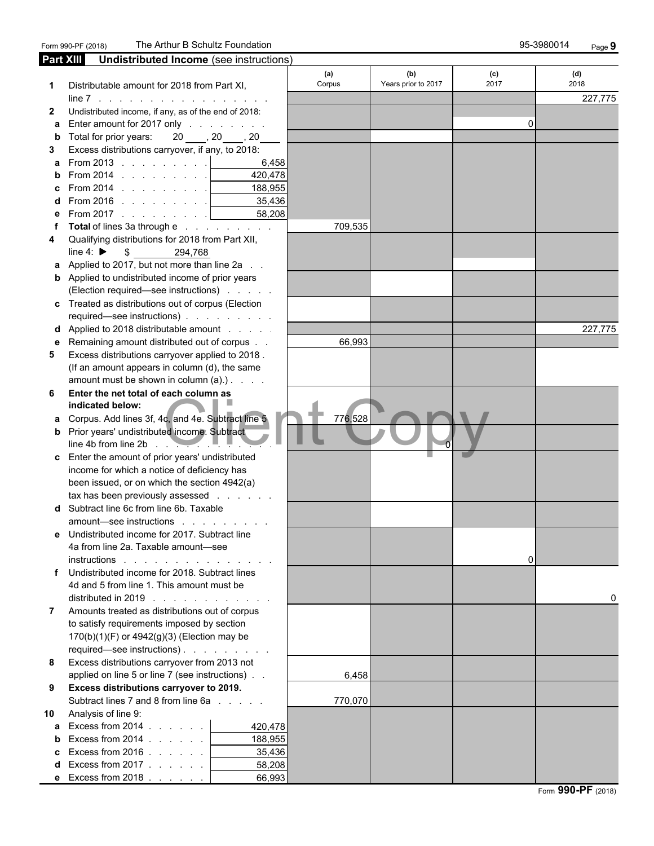| Part XIII    | Undistributed Income (see instructions)                         |               |                            |             |             |
|--------------|-----------------------------------------------------------------|---------------|----------------------------|-------------|-------------|
| 1            | Distributable amount for 2018 from Part XI,                     | (a)<br>Corpus | (b)<br>Years prior to 2017 | (c)<br>2017 | (d)<br>2018 |
|              | $line 7$                                                        |               |                            |             | 227,775     |
| $\mathbf{2}$ | Undistributed income, if any, as of the end of 2018:            |               |                            |             |             |
| a            | Enter amount for 2017 only                                      |               |                            | 0           |             |
| b            | 20, 20, 20<br>Total for prior years:                            |               |                            |             |             |
| 3            | Excess distributions carryover, if any, to 2018:                |               |                            |             |             |
|              | <b>a</b> From 2013 $\vert$<br>6,458                             |               |                            |             |             |
|              | From 2014 $\ldots$ $\ldots$ $\ldots$<br>420.478                 |               |                            |             |             |
|              | 188,955<br>From 2014 $\ldots$ $\ldots$ $\ldots$                 |               |                            |             |             |
|              | From 2016 $\ldots$ $\ldots$ $\ldots$<br>35,436<br><b>Common</b> |               |                            |             |             |
|              | From 2017 $\ldots$ <u>  _ _ _ _</u><br>58,208                   |               |                            |             |             |
|              | Total of lines 3a through e                                     | 709,535       |                            |             |             |
| 4            | Qualifying distributions for 2018 from Part XII,                |               |                            |             |             |
|              | line 4: $\blacktriangleright$<br>\$<br>294,768                  |               |                            |             |             |
|              | Applied to 2017, but not more than line 2a                      |               |                            |             |             |
|              | <b>b</b> Applied to undistributed income of prior years         |               |                            |             |             |
|              | (Election required—see instructions)                            |               |                            |             |             |
|              | c Treated as distributions out of corpus (Election              |               |                            |             |             |
|              | required—see instructions)                                      |               |                            |             |             |
|              | <b>d</b> Applied to 2018 distributable amount                   |               |                            |             | 227,775     |
|              | e Remaining amount distributed out of corpus                    | 66,993        |                            |             |             |
| 5            | Excess distributions carryover applied to 2018.                 |               |                            |             |             |
|              | (If an amount appears in column (d), the same                   |               |                            |             |             |
|              | amount must be shown in column $(a)$ .). $\ldots$               |               |                            |             |             |
| 6            | Enter the net total of each column as                           |               |                            |             |             |
|              | indicated below:                                                |               |                            |             |             |
|              | a Corpus. Add lines 3f, 4c, and 4e. Subtract line 5             | 776,528       |                            |             |             |
|              | <b>b</b> Prior years' undistributed income. Subtract            |               |                            |             |             |
|              | line 4b from line 2b $\sim$                                     |               |                            |             |             |
|              | c Enter the amount of prior years' undistributed                |               |                            |             |             |
|              | income for which a notice of deficiency has                     |               |                            |             |             |
|              | been issued, or on which the section 4942(a)                    |               |                            |             |             |
|              | tax has been previously assessed                                |               |                            |             |             |
|              | d Subtract line 6c from line 6b. Taxable                        |               |                            |             |             |
|              | amount-see instructions                                         |               |                            |             |             |
| е            | Undistributed income for 2017. Subtract line                    |               |                            |             |             |
|              | 4a from line 2a. Taxable amount-see                             |               |                            |             |             |
|              | instructions<br>and the contract of the contract of             |               |                            | 0           |             |
| f            | Undistributed income for 2018. Subtract lines                   |               |                            |             |             |
|              | 4d and 5 from line 1. This amount must be                       |               |                            |             |             |
|              | distributed in 2019 $\ldots$ $\ldots$ $\ldots$                  |               |                            |             | 0           |
| $\mathbf{7}$ | Amounts treated as distributions out of corpus                  |               |                            |             |             |
|              | to satisfy requirements imposed by section                      |               |                            |             |             |
|              | 170(b)(1)(F) or 4942(g)(3) (Election may be                     |               |                            |             |             |
|              | required—see instructions).                                     |               |                            |             |             |
| 8            | Excess distributions carryover from 2013 not                    |               |                            |             |             |
|              | applied on line 5 or line 7 (see instructions)                  | 6,458         |                            |             |             |
| 9            | Excess distributions carryover to 2019.                         |               |                            |             |             |
|              | Subtract lines 7 and 8 from line 6a                             | 770,070       |                            |             |             |
| 10           | Analysis of line 9:                                             |               |                            |             |             |
|              | a Excess from $2014$<br>420,478                                 |               |                            |             |             |
| b            | Excess from 2014 $\ldots$ $\ldots$<br>188,955                   |               |                            |             |             |
|              | Excess from $2016$ .<br>35,436                                  |               |                            |             |             |
| d            | Excess from 2017 $\ldots$ $\ldots$<br>58,208                    |               |                            |             |             |
|              | 66,993<br><b>e</b> Excess from 2018 $\ldots$                    |               |                            |             |             |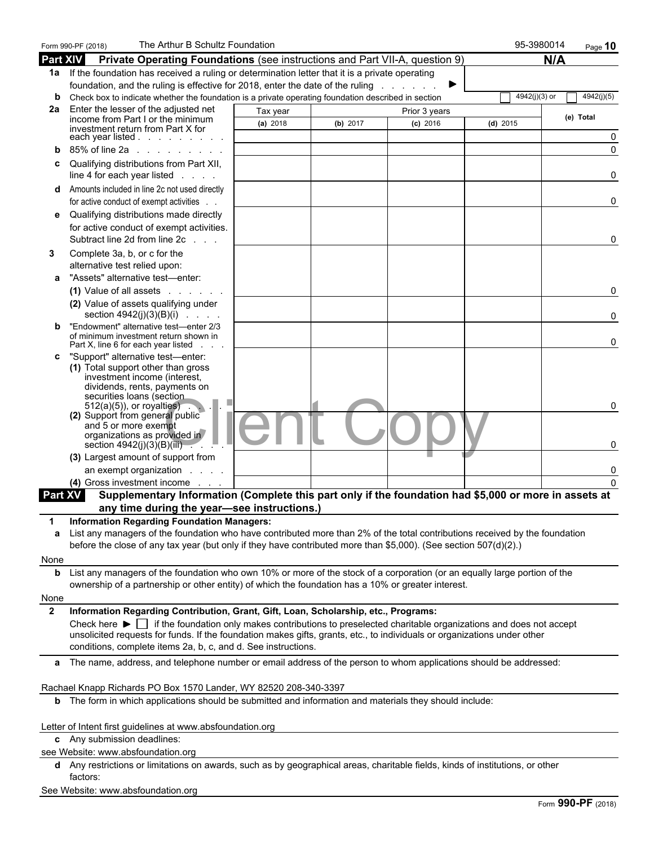|                | The Arthur B Schultz Foundation<br>Form 990-PF (2018)                                                                                                                                                                                                                                                                                                                                                                       |          |          |               | 95-3980014    | Page 10    |
|----------------|-----------------------------------------------------------------------------------------------------------------------------------------------------------------------------------------------------------------------------------------------------------------------------------------------------------------------------------------------------------------------------------------------------------------------------|----------|----------|---------------|---------------|------------|
| Part XIV       | Private Operating Foundations (see instructions and Part VII-A, question 9)                                                                                                                                                                                                                                                                                                                                                 |          |          |               |               | N/A        |
|                | 1a If the foundation has received a ruling or determination letter that it is a private operating                                                                                                                                                                                                                                                                                                                           |          |          |               |               |            |
|                | foundation, and the ruling is effective for 2018, enter the date of the ruling                                                                                                                                                                                                                                                                                                                                              |          |          |               |               |            |
| b              | Check box to indicate whether the foundation is a private operating foundation described in section                                                                                                                                                                                                                                                                                                                         |          |          |               | 4942(j)(3) or | 4942(j)(5) |
| 2a             | Enter the lesser of the adjusted net<br>income from Part I or the minimum                                                                                                                                                                                                                                                                                                                                                   | Tax year |          | Prior 3 years |               | (e) Total  |
|                | investment return from Part X for                                                                                                                                                                                                                                                                                                                                                                                           | (a) 2018 | (b) 2017 | $(c)$ 2016    | $(d)$ 2015    |            |
|                | each year listed $\ldots$ $\ldots$ $\ldots$ $\ldots$                                                                                                                                                                                                                                                                                                                                                                        |          |          |               |               |            |
|                | 85% of line 2a<br>$\mathbf{r}$ and $\mathbf{r}$ are the set of the set of the set of the set of the set of the set of the set of the set of the set of the set of the set of the set of the set of the set of the set of the set of the set of the set                                                                                                                                                                      |          |          |               |               |            |
| c              | Qualifying distributions from Part XII,<br>line 4 for each year listed                                                                                                                                                                                                                                                                                                                                                      |          |          |               |               |            |
| d              | Amounts included in line 2c not used directly<br>for active conduct of exempt activities.                                                                                                                                                                                                                                                                                                                                   |          |          |               |               | 0          |
| е              | Qualifying distributions made directly<br>for active conduct of exempt activities.<br>Subtract line 2d from line 2c<br>$\sim$ $\sim$                                                                                                                                                                                                                                                                                        |          |          |               |               | 0          |
| 3<br>a         | Complete 3a, b, or c for the<br>alternative test relied upon:<br>"Assets" alternative test-enter:                                                                                                                                                                                                                                                                                                                           |          |          |               |               |            |
|                | (1) Value of all assets<br>(2) Value of assets qualifying under                                                                                                                                                                                                                                                                                                                                                             |          |          |               |               | 0          |
| b              | section $4942(j)(3)(B)(i)$<br>"Endowment" alternative test-enter 2/3<br>of minimum investment return shown in                                                                                                                                                                                                                                                                                                               |          |          |               |               |            |
|                | Part X, line 6 for each year listed                                                                                                                                                                                                                                                                                                                                                                                         |          |          |               |               | 0          |
| c              | "Support" alternative test-enter:<br>(1) Total support other than gross<br>investment income (interest,<br>dividends, rents, payments on<br>securities loans (section<br>$512(a)(5)$ , or royalties).                                                                                                                                                                                                                       |          |          |               |               | 0          |
|                | (2) Support from general public<br>and 5 or more exempt<br>organizations as provided in<br>section $4942(j)(3)(B)(iii)$ . $\blacksquare$                                                                                                                                                                                                                                                                                    |          |          |               |               |            |
|                | (3) Largest amount of support from                                                                                                                                                                                                                                                                                                                                                                                          |          |          |               |               |            |
|                | an exempt organization.                                                                                                                                                                                                                                                                                                                                                                                                     |          |          |               |               |            |
|                | (4) Gross investment income.                                                                                                                                                                                                                                                                                                                                                                                                |          |          |               |               |            |
| <b>Part XV</b> | Supplementary Information (Complete this part only if the foundation had \$5,000 or more in assets at                                                                                                                                                                                                                                                                                                                       |          |          |               |               |            |
|                | any time during the year-see instructions.)                                                                                                                                                                                                                                                                                                                                                                                 |          |          |               |               |            |
| 1<br>a         | <b>Information Regarding Foundation Managers:</b><br>List any managers of the foundation who have contributed more than 2% of the total contributions received by the foundation<br>before the close of any tax year (but only if they have contributed more than \$5,000). (See section 507(d)(2).)                                                                                                                        |          |          |               |               |            |
| None           |                                                                                                                                                                                                                                                                                                                                                                                                                             |          |          |               |               |            |
|                | <b>b</b> List any managers of the foundation who own 10% or more of the stock of a corporation (or an equally large portion of the                                                                                                                                                                                                                                                                                          |          |          |               |               |            |
| None           | ownership of a partnership or other entity) of which the foundation has a 10% or greater interest.                                                                                                                                                                                                                                                                                                                          |          |          |               |               |            |
| $\mathbf{2}$   | Information Regarding Contribution, Grant, Gift, Loan, Scholarship, etc., Programs:<br>Check here $\blacktriangleright$ if the foundation only makes contributions to preselected charitable organizations and does not accept<br>unsolicited requests for funds. If the foundation makes gifts, grants, etc., to individuals or organizations under other<br>conditions, complete items 2a, b, c, and d. See instructions. |          |          |               |               |            |
|                | a The name, address, and telephone number or email address of the person to whom applications should be addressed:                                                                                                                                                                                                                                                                                                          |          |          |               |               |            |
|                |                                                                                                                                                                                                                                                                                                                                                                                                                             |          |          |               |               |            |
|                | Rachael Knapp Richards PO Box 1570 Lander, WY 82520 208-340-3397                                                                                                                                                                                                                                                                                                                                                            |          |          |               |               |            |
|                | <b>b</b> The form in which applications should be submitted and information and materials they should include:                                                                                                                                                                                                                                                                                                              |          |          |               |               |            |
|                | Letter of Intent first guidelines at www.absfoundation.org<br>c Any submission deadlines:                                                                                                                                                                                                                                                                                                                                   |          |          |               |               |            |
|                | see Website: www.absfoundation.org                                                                                                                                                                                                                                                                                                                                                                                          |          |          |               |               |            |
|                | d Any restrictions or limitations on awards, such as by geographical areas, charitable fields, kinds of institutions, or other<br>factors:                                                                                                                                                                                                                                                                                  |          |          |               |               |            |
|                |                                                                                                                                                                                                                                                                                                                                                                                                                             |          |          |               |               |            |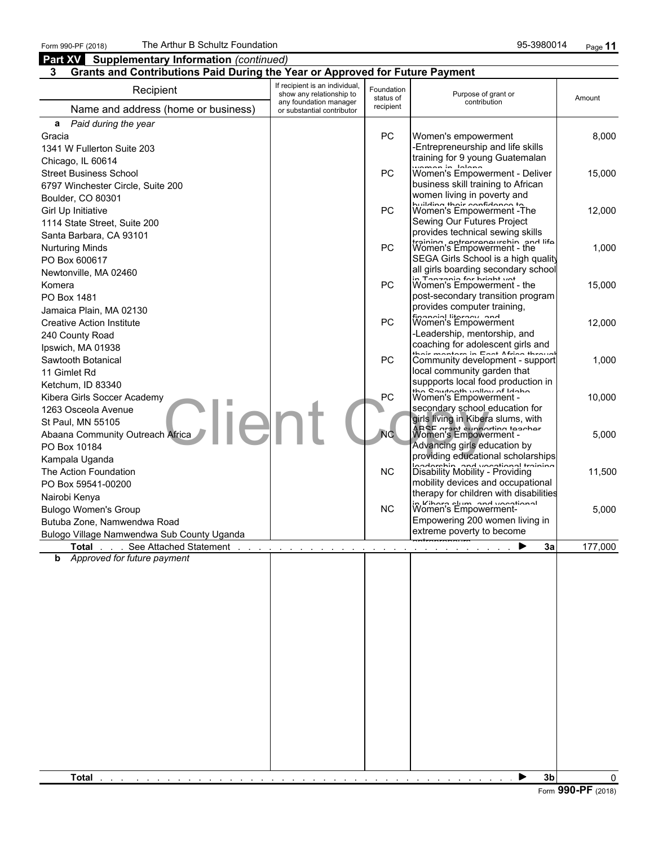### **Part XV** Supplementary Information *(continued)* **Enter in State 3**

#### **3 Grants and Contributions Paid During the Year or Approved for Future Payment**

| If recipient is an individual,<br>Recipient<br>Foundation<br>show any relationship to<br>Purpose of grant or<br>status of<br>Amount<br>any foundation manager<br>contribution<br>recipient<br>Name and address (home or business)<br>or substantial contributor<br>a Paid during the year<br>PC<br>Women's empowerment<br>Gracia<br>-Entrepreneurship and life skills<br>1341 W Fullerton Suite 203<br>training for 9 young Guatemalan<br>Chicago, IL 60614<br>Women's Informer - Deliver<br><b>PC</b><br><b>Street Business School</b><br>business skill training to African<br>6797 Winchester Circle, Suite 200<br>women living in poverty and<br>Boulder, CO 80301<br>building their confidence to<br><b>PC</b><br>Sewing Our Futures Project<br>1114 State Street, Suite 200<br>provides technical sewing skills<br>Santa Barbara, CA 93101<br>training entrepreneurship and life Women's Empowerment - the<br>PC<br>SEGA Girls School is a high quality<br>all girls boarding secondary school<br>in Tonzonio for hriaht uot<br><b>PC</b><br>Komera<br>Women's Empowerment - the<br>post-secondary transition program<br>provides computer training,<br>Jamaica Plain, MA 02130<br>financial literacy and<br><b>PC</b><br>Women's Empowerment<br>-Leadership, mentorship, and<br>240 County Road<br>coaching for adolescent girls and<br>Ipswich, MA 01938<br>thair mantara in East Africa thraual<br>PC<br>Sawtooth Botanical<br>Community development - support<br>local community garden that<br>11 Gimlet Rd<br>suppports local food production in<br>the Southerth vollow of Idoho<br>Kibera Girls Soccer Academy<br>PC<br>secondary school education for<br>1263 Osceola Avenue<br>·lie<br>girls living in Kibera slums, with<br>St Paul, MN 55105<br>ARSE aront supporting teacher<br>N <sub>C</sub><br>Abaana Community Outreach Africa<br>Advancing girls education by<br>providing educational scholarships<br>loadorehin and voortional training<br><b>NC</b><br>The Action Foundation<br>Disability Mobility - Providing<br>mobility devices and occupational<br>therapy for children with disabilities<br>in Kihara slum and vocational<br><b>NC</b><br>Empowering 200 women living in<br>Butuba Zone, Namwendwa Road<br>extreme poverty to become<br>Bulogo Village Namwendwa Sub County Uganda<br><b>Total</b> See Attached Statement<br>3a<br>and a series of the contract of the contract of the<br><b>b</b> Approved for future payment | 3 <sub>b</sub><br>Total<br>▶ | Urants and Ubittinutions I ald During the Teal of Apploved for Future Fayment |  |       |
|-----------------------------------------------------------------------------------------------------------------------------------------------------------------------------------------------------------------------------------------------------------------------------------------------------------------------------------------------------------------------------------------------------------------------------------------------------------------------------------------------------------------------------------------------------------------------------------------------------------------------------------------------------------------------------------------------------------------------------------------------------------------------------------------------------------------------------------------------------------------------------------------------------------------------------------------------------------------------------------------------------------------------------------------------------------------------------------------------------------------------------------------------------------------------------------------------------------------------------------------------------------------------------------------------------------------------------------------------------------------------------------------------------------------------------------------------------------------------------------------------------------------------------------------------------------------------------------------------------------------------------------------------------------------------------------------------------------------------------------------------------------------------------------------------------------------------------------------------------------------------------------------------------------------------------------------------------------------------------------------------------------------------------------------------------------------------------------------------------------------------------------------------------------------------------------------------------------------------------------------------------------------------------------------------------------------------------------------------------------------------------------------------------------------------------------------------------------------|------------------------------|-------------------------------------------------------------------------------|--|-------|
| Girl Up Initiative<br><b>Nurturing Minds</b><br>PO Box 600617<br>Newtonville, MA 02460<br>PO Box 1481<br><b>Creative Action Institute</b><br>Ketchum, ID 83340<br>PO Box 10184<br>Kampala Uganda<br>PO Box 59541-00200<br>Nairobi Kenya<br><b>Bulogo Women's Group</b>                                                                                                                                                                                                                                                                                                                                                                                                                                                                                                                                                                                                                                                                                                                                                                                                                                                                                                                                                                                                                                                                                                                                                                                                                                                                                                                                                                                                                                                                                                                                                                                                                                                                                                                                                                                                                                                                                                                                                                                                                                                                                                                                                                                          |                              |                                                                               |  |       |
| 8,000<br>15,000<br>12,000<br>1,000<br>15,000<br>12,000<br>1,000<br>10,000                                                                                                                                                                                                                                                                                                                                                                                                                                                                                                                                                                                                                                                                                                                                                                                                                                                                                                                                                                                                                                                                                                                                                                                                                                                                                                                                                                                                                                                                                                                                                                                                                                                                                                                                                                                                                                                                                                                                                                                                                                                                                                                                                                                                                                                                                                                                                                                       |                              |                                                                               |  |       |
|                                                                                                                                                                                                                                                                                                                                                                                                                                                                                                                                                                                                                                                                                                                                                                                                                                                                                                                                                                                                                                                                                                                                                                                                                                                                                                                                                                                                                                                                                                                                                                                                                                                                                                                                                                                                                                                                                                                                                                                                                                                                                                                                                                                                                                                                                                                                                                                                                                                                 |                              |                                                                               |  |       |
|                                                                                                                                                                                                                                                                                                                                                                                                                                                                                                                                                                                                                                                                                                                                                                                                                                                                                                                                                                                                                                                                                                                                                                                                                                                                                                                                                                                                                                                                                                                                                                                                                                                                                                                                                                                                                                                                                                                                                                                                                                                                                                                                                                                                                                                                                                                                                                                                                                                                 |                              |                                                                               |  |       |
|                                                                                                                                                                                                                                                                                                                                                                                                                                                                                                                                                                                                                                                                                                                                                                                                                                                                                                                                                                                                                                                                                                                                                                                                                                                                                                                                                                                                                                                                                                                                                                                                                                                                                                                                                                                                                                                                                                                                                                                                                                                                                                                                                                                                                                                                                                                                                                                                                                                                 |                              |                                                                               |  |       |
|                                                                                                                                                                                                                                                                                                                                                                                                                                                                                                                                                                                                                                                                                                                                                                                                                                                                                                                                                                                                                                                                                                                                                                                                                                                                                                                                                                                                                                                                                                                                                                                                                                                                                                                                                                                                                                                                                                                                                                                                                                                                                                                                                                                                                                                                                                                                                                                                                                                                 |                              |                                                                               |  |       |
|                                                                                                                                                                                                                                                                                                                                                                                                                                                                                                                                                                                                                                                                                                                                                                                                                                                                                                                                                                                                                                                                                                                                                                                                                                                                                                                                                                                                                                                                                                                                                                                                                                                                                                                                                                                                                                                                                                                                                                                                                                                                                                                                                                                                                                                                                                                                                                                                                                                                 |                              |                                                                               |  |       |
|                                                                                                                                                                                                                                                                                                                                                                                                                                                                                                                                                                                                                                                                                                                                                                                                                                                                                                                                                                                                                                                                                                                                                                                                                                                                                                                                                                                                                                                                                                                                                                                                                                                                                                                                                                                                                                                                                                                                                                                                                                                                                                                                                                                                                                                                                                                                                                                                                                                                 |                              |                                                                               |  |       |
|                                                                                                                                                                                                                                                                                                                                                                                                                                                                                                                                                                                                                                                                                                                                                                                                                                                                                                                                                                                                                                                                                                                                                                                                                                                                                                                                                                                                                                                                                                                                                                                                                                                                                                                                                                                                                                                                                                                                                                                                                                                                                                                                                                                                                                                                                                                                                                                                                                                                 |                              |                                                                               |  |       |
|                                                                                                                                                                                                                                                                                                                                                                                                                                                                                                                                                                                                                                                                                                                                                                                                                                                                                                                                                                                                                                                                                                                                                                                                                                                                                                                                                                                                                                                                                                                                                                                                                                                                                                                                                                                                                                                                                                                                                                                                                                                                                                                                                                                                                                                                                                                                                                                                                                                                 |                              |                                                                               |  |       |
| 11,500                                                                                                                                                                                                                                                                                                                                                                                                                                                                                                                                                                                                                                                                                                                                                                                                                                                                                                                                                                                                                                                                                                                                                                                                                                                                                                                                                                                                                                                                                                                                                                                                                                                                                                                                                                                                                                                                                                                                                                                                                                                                                                                                                                                                                                                                                                                                                                                                                                                          |                              |                                                                               |  | 5,000 |
|                                                                                                                                                                                                                                                                                                                                                                                                                                                                                                                                                                                                                                                                                                                                                                                                                                                                                                                                                                                                                                                                                                                                                                                                                                                                                                                                                                                                                                                                                                                                                                                                                                                                                                                                                                                                                                                                                                                                                                                                                                                                                                                                                                                                                                                                                                                                                                                                                                                                 |                              |                                                                               |  |       |
| 177,000                                                                                                                                                                                                                                                                                                                                                                                                                                                                                                                                                                                                                                                                                                                                                                                                                                                                                                                                                                                                                                                                                                                                                                                                                                                                                                                                                                                                                                                                                                                                                                                                                                                                                                                                                                                                                                                                                                                                                                                                                                                                                                                                                                                                                                                                                                                                                                                                                                                         | $\Omega$                     |                                                                               |  | 5,000 |
|                                                                                                                                                                                                                                                                                                                                                                                                                                                                                                                                                                                                                                                                                                                                                                                                                                                                                                                                                                                                                                                                                                                                                                                                                                                                                                                                                                                                                                                                                                                                                                                                                                                                                                                                                                                                                                                                                                                                                                                                                                                                                                                                                                                                                                                                                                                                                                                                                                                                 |                              |                                                                               |  |       |
|                                                                                                                                                                                                                                                                                                                                                                                                                                                                                                                                                                                                                                                                                                                                                                                                                                                                                                                                                                                                                                                                                                                                                                                                                                                                                                                                                                                                                                                                                                                                                                                                                                                                                                                                                                                                                                                                                                                                                                                                                                                                                                                                                                                                                                                                                                                                                                                                                                                                 |                              |                                                                               |  |       |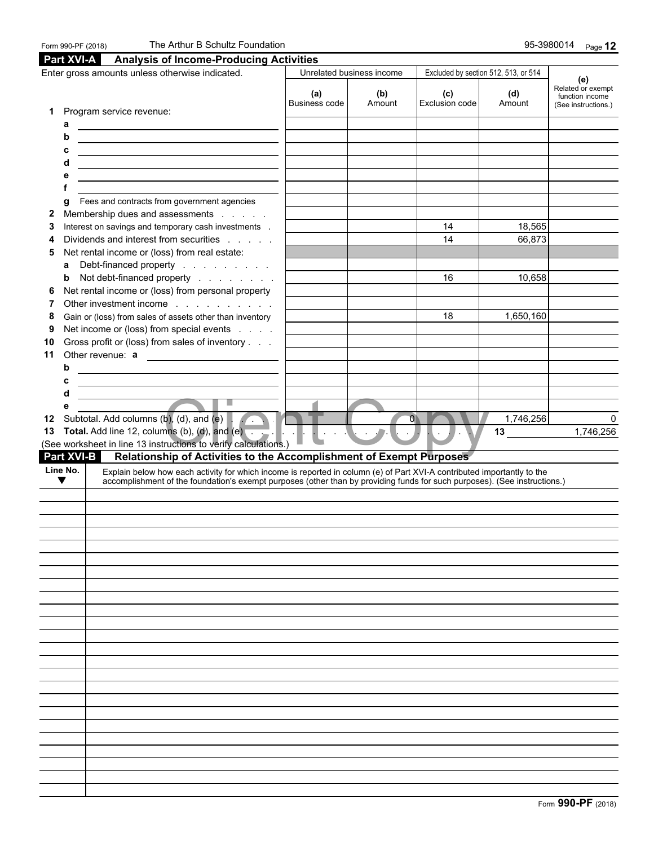|                               | Enter gross amounts unless otherwise indicated.                                                                                                                                                                                                      |                      | Unrelated business income |                                 | Excluded by section 512, 513, or 514 | (e)                                  |
|-------------------------------|------------------------------------------------------------------------------------------------------------------------------------------------------------------------------------------------------------------------------------------------------|----------------------|---------------------------|---------------------------------|--------------------------------------|--------------------------------------|
|                               |                                                                                                                                                                                                                                                      | (a)<br>Business code | (b)<br>Amount             | (c)<br>Exclusion code           | (d)<br>Amount                        | Related or exempt<br>function income |
| 1                             | Program service revenue:                                                                                                                                                                                                                             |                      |                           |                                 |                                      | (See instructions.)                  |
| a                             | <u> Alexandria de la contrada de la contrada de la con</u>                                                                                                                                                                                           |                      |                           |                                 |                                      |                                      |
| b                             | <u> 1989 - Johann Stoff, Amerikaansk politiker († 1908)</u>                                                                                                                                                                                          |                      |                           |                                 |                                      |                                      |
| c                             | <u> 1980 - Johann Barn, fransk politik (d. 1980)</u>                                                                                                                                                                                                 |                      |                           |                                 |                                      |                                      |
| d                             | <u> 1989 - Johann Barbara, martxa alemaniar amerikan a</u>                                                                                                                                                                                           |                      |                           |                                 |                                      |                                      |
| е                             | <u> 1980 - Johann Barn, fransk politik (d. 1980)</u>                                                                                                                                                                                                 |                      |                           |                                 |                                      |                                      |
| g                             | Fees and contracts from government agencies                                                                                                                                                                                                          |                      |                           |                                 |                                      |                                      |
| $\mathbf{2}$                  | Membership dues and assessments                                                                                                                                                                                                                      |                      |                           |                                 |                                      |                                      |
| 3                             | Interest on savings and temporary cash investments .                                                                                                                                                                                                 |                      |                           | 14                              | 18,565                               |                                      |
| 4                             | Dividends and interest from securities                                                                                                                                                                                                               |                      |                           | 14                              | 66,873                               |                                      |
| 5                             | Net rental income or (loss) from real estate:                                                                                                                                                                                                        |                      |                           |                                 |                                      |                                      |
| a                             | Debt-financed property                                                                                                                                                                                                                               |                      |                           |                                 |                                      |                                      |
| b                             | Not debt-financed property                                                                                                                                                                                                                           |                      |                           | 16                              | 10,658                               |                                      |
| 6                             | Net rental income or (loss) from personal property                                                                                                                                                                                                   |                      |                           |                                 |                                      |                                      |
| 7                             | Other investment income                                                                                                                                                                                                                              |                      |                           |                                 |                                      |                                      |
| 8<br>9                        | Gain or (loss) from sales of assets other than inventory                                                                                                                                                                                             |                      |                           | 18                              | 1,650,160                            |                                      |
| 10                            | Net income or (loss) from special events<br>Gross profit or (loss) from sales of inventory                                                                                                                                                           |                      |                           |                                 |                                      |                                      |
| 11                            | Other revenue: a                                                                                                                                                                                                                                     |                      |                           |                                 |                                      |                                      |
| b                             | <u> 1989 - Johann Stoff, deutscher Stoffen und der Stoffen und der Stoffen und der Stoffen und der Stoffen und d</u>                                                                                                                                 |                      |                           |                                 |                                      |                                      |
| с                             |                                                                                                                                                                                                                                                      |                      |                           |                                 |                                      |                                      |
| d                             |                                                                                                                                                                                                                                                      |                      |                           |                                 |                                      |                                      |
| е                             | $\overline{\phantom{a}}$<br>۳                                                                                                                                                                                                                        |                      |                           |                                 |                                      |                                      |
|                               | 12 Subtotal. Add columns (b), (d), and (e)                                                                                                                                                                                                           |                      |                           | $\overline{\mathbf{0}}$         | 1,746,256                            |                                      |
|                               | 13 Total. Add line 12, columns (b), (d), and $(e)$ . $\blacksquare$ .                                                                                                                                                                                |                      | $\sim$                    | $\blacksquare$ . $\blacksquare$ | 13                                   | 1,746,256                            |
|                               | (See worksheet in line 13 instructions to verify calculations.)                                                                                                                                                                                      |                      |                           |                                 |                                      |                                      |
| <b>Part XVI-B</b><br>Line No. | Relationship of Activities to the Accomplishment of Exempt Purposes                                                                                                                                                                                  |                      |                           |                                 |                                      |                                      |
| $\blacktriangledown$          | Explain below how each activity for which income is reported in column (e) of Part XVI-A contributed importantly to the<br>accomplishment of the foundation's exempt purposes (other than by providing funds for such purposes). (See instructions.) |                      |                           |                                 |                                      |                                      |
|                               |                                                                                                                                                                                                                                                      |                      |                           |                                 |                                      |                                      |
|                               |                                                                                                                                                                                                                                                      |                      |                           |                                 |                                      |                                      |
|                               |                                                                                                                                                                                                                                                      |                      |                           |                                 |                                      |                                      |
|                               |                                                                                                                                                                                                                                                      |                      |                           |                                 |                                      |                                      |
|                               |                                                                                                                                                                                                                                                      |                      |                           |                                 |                                      |                                      |
|                               |                                                                                                                                                                                                                                                      |                      |                           |                                 |                                      |                                      |
|                               |                                                                                                                                                                                                                                                      |                      |                           |                                 |                                      |                                      |
|                               |                                                                                                                                                                                                                                                      |                      |                           |                                 |                                      |                                      |
|                               |                                                                                                                                                                                                                                                      |                      |                           |                                 |                                      |                                      |
|                               |                                                                                                                                                                                                                                                      |                      |                           |                                 |                                      |                                      |
|                               |                                                                                                                                                                                                                                                      |                      |                           |                                 |                                      |                                      |
|                               |                                                                                                                                                                                                                                                      |                      |                           |                                 |                                      |                                      |
|                               |                                                                                                                                                                                                                                                      |                      |                           |                                 |                                      |                                      |
|                               |                                                                                                                                                                                                                                                      |                      |                           |                                 |                                      |                                      |
|                               |                                                                                                                                                                                                                                                      |                      |                           |                                 |                                      |                                      |
|                               |                                                                                                                                                                                                                                                      |                      |                           |                                 |                                      |                                      |
|                               |                                                                                                                                                                                                                                                      |                      |                           |                                 |                                      |                                      |
|                               |                                                                                                                                                                                                                                                      |                      |                           |                                 |                                      |                                      |
|                               |                                                                                                                                                                                                                                                      |                      |                           |                                 |                                      |                                      |
|                               |                                                                                                                                                                                                                                                      |                      |                           |                                 |                                      |                                      |
|                               |                                                                                                                                                                                                                                                      |                      |                           |                                 |                                      |                                      |
|                               |                                                                                                                                                                                                                                                      |                      |                           |                                 |                                      |                                      |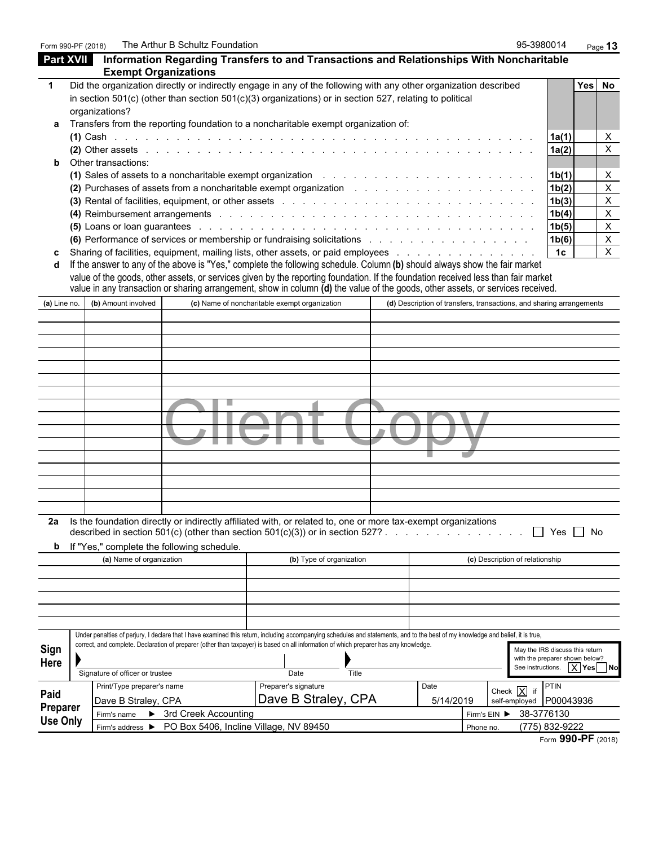Form 990-PF (2018) The Arthur B Schultz Foundation and the state of the Schultz Foundation Page 13

| <b>Part XVII</b> | <b>Exempt Organizations</b>     |                                            | Information Regarding Transfers to and Transactions and Relationships With Noncharitable                                                                                                                                                                                                                                                                                                           |                                                                      |                                 |                                                                    |                           |
|------------------|---------------------------------|--------------------------------------------|----------------------------------------------------------------------------------------------------------------------------------------------------------------------------------------------------------------------------------------------------------------------------------------------------------------------------------------------------------------------------------------------------|----------------------------------------------------------------------|---------------------------------|--------------------------------------------------------------------|---------------------------|
| 1                | organizations?                  |                                            | Did the organization directly or indirectly engage in any of the following with any other organization described<br>in section $501(c)$ (other than section $501(c)(3)$ organizations) or in section 527, relating to political                                                                                                                                                                    |                                                                      |                                 |                                                                    | Yes No                    |
|                  |                                 |                                            | Transfers from the reporting foundation to a noncharitable exempt organization of:                                                                                                                                                                                                                                                                                                                 |                                                                      |                                 | 1a(1)                                                              | X                         |
|                  |                                 |                                            |                                                                                                                                                                                                                                                                                                                                                                                                    |                                                                      |                                 | 1a(2)                                                              | $\boldsymbol{\mathsf{X}}$ |
|                  | Other transactions:             |                                            |                                                                                                                                                                                                                                                                                                                                                                                                    |                                                                      |                                 |                                                                    |                           |
|                  |                                 |                                            | (1) Sales of assets to a noncharitable exempt organization enterstable state and service and service of the sales of an intervalse state of the Sales of an intervalse state of the Sales of the Sales of the Sales of the Sal                                                                                                                                                                     |                                                                      |                                 | 1b(1)                                                              | $\boldsymbol{\mathsf{X}}$ |
|                  |                                 |                                            |                                                                                                                                                                                                                                                                                                                                                                                                    |                                                                      |                                 | 1b(2)                                                              | $\mathsf{X}$              |
|                  |                                 |                                            |                                                                                                                                                                                                                                                                                                                                                                                                    |                                                                      |                                 | 1b(3)                                                              | $\boldsymbol{\mathsf{X}}$ |
|                  |                                 |                                            |                                                                                                                                                                                                                                                                                                                                                                                                    |                                                                      |                                 | 1b(4)                                                              | $\boldsymbol{X}$          |
|                  |                                 |                                            | (5) Loans or loan guarantees entering to the control of the control of the control of the control of the control of the control of the control of the control of the control of the control of the control of the control of t                                                                                                                                                                     |                                                                      |                                 | 1b(5)                                                              | $\boldsymbol{\mathsf{X}}$ |
|                  |                                 |                                            |                                                                                                                                                                                                                                                                                                                                                                                                    |                                                                      |                                 | 1b(6)                                                              | $\mathsf{X}$              |
|                  |                                 |                                            | Sharing of facilities, equipment, mailing lists, other assets, or paid employees                                                                                                                                                                                                                                                                                                                   |                                                                      |                                 | 1 <sub>c</sub>                                                     | $\mathsf{X}$              |
|                  |                                 |                                            | If the answer to any of the above is "Yes," complete the following schedule. Column (b) should always show the fair market<br>value of the goods, other assets, or services given by the reporting foundation. If the foundation received less than fair market<br>value in any transaction or sharing arrangement, show in column (d) the value of the goods, other assets, or services received. |                                                                      |                                 |                                                                    |                           |
| (a) Line no.     | (b) Amount involved             |                                            | (c) Name of noncharitable exempt organization                                                                                                                                                                                                                                                                                                                                                      | (d) Description of transfers, transactions, and sharing arrangements |                                 |                                                                    |                           |
|                  |                                 |                                            |                                                                                                                                                                                                                                                                                                                                                                                                    |                                                                      |                                 |                                                                    |                           |
|                  |                                 |                                            |                                                                                                                                                                                                                                                                                                                                                                                                    |                                                                      |                                 |                                                                    |                           |
|                  |                                 |                                            |                                                                                                                                                                                                                                                                                                                                                                                                    |                                                                      |                                 |                                                                    |                           |
|                  |                                 |                                            |                                                                                                                                                                                                                                                                                                                                                                                                    |                                                                      |                                 |                                                                    |                           |
|                  |                                 |                                            |                                                                                                                                                                                                                                                                                                                                                                                                    |                                                                      |                                 |                                                                    |                           |
|                  |                                 |                                            |                                                                                                                                                                                                                                                                                                                                                                                                    |                                                                      |                                 |                                                                    |                           |
|                  |                                 |                                            |                                                                                                                                                                                                                                                                                                                                                                                                    |                                                                      |                                 |                                                                    |                           |
|                  |                                 |                                            |                                                                                                                                                                                                                                                                                                                                                                                                    |                                                                      |                                 |                                                                    |                           |
|                  |                                 |                                            |                                                                                                                                                                                                                                                                                                                                                                                                    |                                                                      |                                 |                                                                    |                           |
|                  |                                 |                                            |                                                                                                                                                                                                                                                                                                                                                                                                    |                                                                      |                                 |                                                                    |                           |
|                  |                                 |                                            |                                                                                                                                                                                                                                                                                                                                                                                                    |                                                                      |                                 |                                                                    |                           |
|                  |                                 |                                            |                                                                                                                                                                                                                                                                                                                                                                                                    |                                                                      |                                 |                                                                    |                           |
|                  |                                 |                                            |                                                                                                                                                                                                                                                                                                                                                                                                    |                                                                      |                                 |                                                                    |                           |
|                  |                                 |                                            |                                                                                                                                                                                                                                                                                                                                                                                                    |                                                                      |                                 |                                                                    |                           |
|                  |                                 |                                            |                                                                                                                                                                                                                                                                                                                                                                                                    |                                                                      |                                 |                                                                    |                           |
| 2a               |                                 |                                            | Is the foundation directly or indirectly affiliated with, or related to, one or more tax-exempt organizations<br>described in section 501(c) (other than section 501(c)(3)) or in section 527?                                                                                                                                                                                                     |                                                                      |                                 | $\Box$ Yes $\Box$ No                                               |                           |
| b                |                                 | If "Yes," complete the following schedule. |                                                                                                                                                                                                                                                                                                                                                                                                    |                                                                      |                                 |                                                                    |                           |
|                  | (a) Name of organization        |                                            | (b) Type of organization                                                                                                                                                                                                                                                                                                                                                                           |                                                                      | (c) Description of relationship |                                                                    |                           |
|                  |                                 |                                            |                                                                                                                                                                                                                                                                                                                                                                                                    |                                                                      |                                 |                                                                    |                           |
|                  |                                 |                                            |                                                                                                                                                                                                                                                                                                                                                                                                    |                                                                      |                                 |                                                                    |                           |
|                  |                                 |                                            |                                                                                                                                                                                                                                                                                                                                                                                                    |                                                                      |                                 |                                                                    |                           |
|                  |                                 |                                            |                                                                                                                                                                                                                                                                                                                                                                                                    |                                                                      |                                 |                                                                    |                           |
|                  |                                 |                                            |                                                                                                                                                                                                                                                                                                                                                                                                    |                                                                      |                                 |                                                                    |                           |
|                  |                                 |                                            | Under penalties of perjury, I declare that I have examined this return, including accompanying schedules and statements, and to the best of my knowledge and belief, it is true,                                                                                                                                                                                                                   |                                                                      |                                 |                                                                    |                           |
| Sign             |                                 |                                            | correct, and complete. Declaration of preparer (other than taxpayer) is based on all information of which preparer has any knowledge.                                                                                                                                                                                                                                                              |                                                                      |                                 | May the IRS discuss this return                                    |                           |
| Here             |                                 |                                            |                                                                                                                                                                                                                                                                                                                                                                                                    |                                                                      |                                 | with the preparer shown below?<br>See instructions.   X   Yes   No |                           |
|                  | Signature of officer or trustee |                                            | Date<br>Title                                                                                                                                                                                                                                                                                                                                                                                      |                                                                      |                                 |                                                                    |                           |
| Paid             | Print/Type preparer's name      |                                            | Preparer's signature                                                                                                                                                                                                                                                                                                                                                                               | Date                                                                 | Check $\overline{X}$ if         | <b>PTIN</b>                                                        |                           |
| <b>Preparer</b>  | Dave B Straley, CPA             |                                            | Dave B Straley, CPA                                                                                                                                                                                                                                                                                                                                                                                | 5/14/2019                                                            |                                 | self-employed P00043936                                            |                           |
| <b>Use Only</b>  |                                 | Firm's name > 3rd Creek Accounting         |                                                                                                                                                                                                                                                                                                                                                                                                    |                                                                      | Firm's EIN                      | 38-3776130                                                         |                           |
|                  |                                 |                                            | Firm's address > PO Box 5406, Incline Village, NV 89450                                                                                                                                                                                                                                                                                                                                            |                                                                      | Phone no.                       | (775) 832-9222                                                     |                           |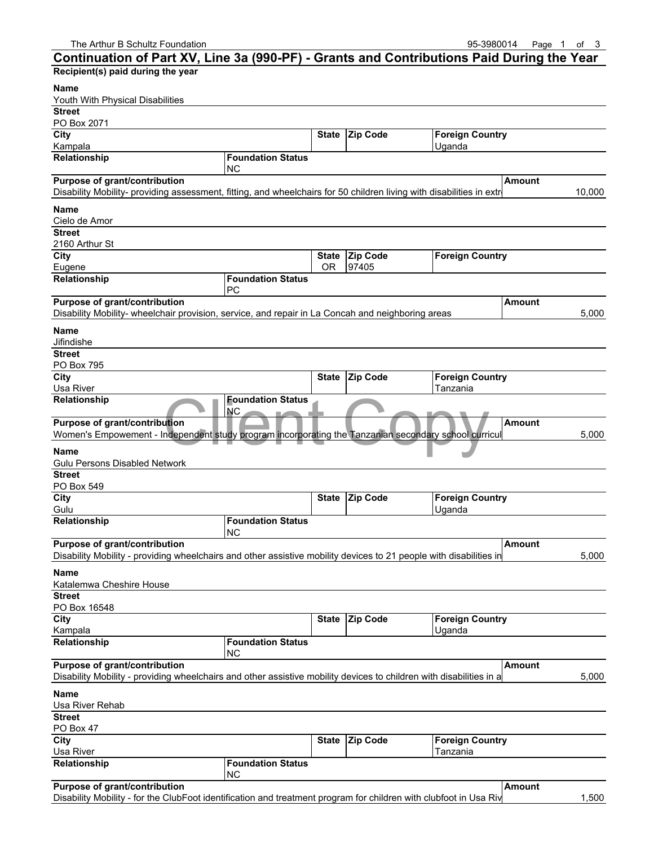#### The Arthur B Schultz Foundation **Contact Contact Contact Contact Contact Contact Contact Contact Contact Contact Contact Contact Contact Contact Contact Contact Contact Contact Contact Contact Contact Contact Contact Conta Continuation of Part XV, Line 3a (990-PF) - Grants and Contributions Paid During the Year Recipient(s) paid during the year Name** Youth With Physical Disabilities **Street** PO Box 2071 **City State Zip Code Foreign Country** Kampala Uganda ini kacamatan ing Kabupatèn Kampala Ing Kabupatèn Kampala Ing Kabupatèn Kampala **Relationship Foundation Status** NC **Purpose of grant/contribution Amount Amount Amount Amount** Disability Mobility- providing assessment, fitting, and wheelchairs for 50 children living with disabilities in extreme poverty near Kampala 10,000 **Name** Cielo de Amor **Street** 2160 Arthur St **City State Zip Code Foreign Country** Eugene **Details and COR 197405 Relationship Foundation Status** PC **Purpose of grant/contribution Amount Amount Amount Amount** Disability Mobility- wheelchair provision, service, and repair in La Concah and neighboring areas 1988 and 1990 **Name** Jifindishe **Street** PO Box 795 **City State Zip Code Foreign Country** Usa River Tanzania **Relationship Foundation Status** NC **Purpose of grant/contribution Amount** Women's Empowement - Independent study program incorporating the Tanzanian secondary school curricul vertical to the 5,000 **Name** Gulu Persons Disabled Network **Street** PO Box 549 **City State Zip Code Foreign Country** Gulu Uganda iyo kalendari katalog asl nashrida iyo katalog asl nashrida iyo katalog asl nashrida iyo katalog a **Relationship Foundation Status** NC **Purpose of grant/contribution Amount** Disability Mobility - providing wheelchairs and other assistive mobility devices to 21 people with disabilities in 5,000 5,000 **Name** Katalemwa Cheshire House **Street** PO Box 16548 **City State Zip Code Foreign Country** Kampala Uganda **Relationship Foundation Status** NC **Purpose of grant/contribution Amount Amount** Disability Mobility - providing wheelchairs and other assistive mobility devices to children with disabilities in a **Name** Usa River Rehab **Street** PO Box 47 **City State Zip Code Foreign Country** Usa River Tanzania **Relationship Foundation Status** Foundation Status<br>
NC<br>
Independent study program incorporating the Tanzanian secondary school curri<br>
Tanzanian secondary school curri

| <b>Purpose of grant/contribution</b> | l Amount |
|--------------------------------------|----------|

 $N<sub>C</sub>$ 

Disability Mobility - for the ClubFoot identification and treatment program for children with clubfoot in Usa Riv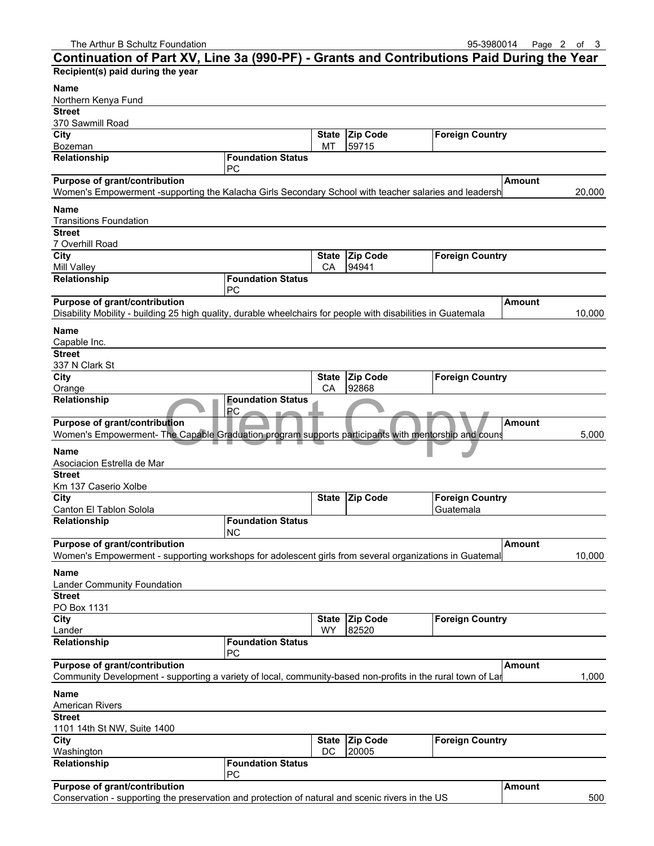#### **Continuation of Part XV, Line 3a (990-PF) - Grants and Contributions Paid During the Year Recipient(s) paid during the year Name** Northern Kenya Fund **Street** 370 Sawmill Road **City State Zip Code Foreign Country** Bozeman MT 59715 **Relationship Foundation Status** PC **Purpose of grant/contribution Amount Amount Amount Amount** Women's Empowerment -supporting the Kalacha Girls Secondary School with teacher salaries and leadersh 20,000 **Name** Transitions Foundation **Street** 7 Overhill Road **City State Zip Code Foreign Country** Mill Valley **CA** 94941 **Relationship Foundation Status** PC **Purpose of grant/contribution Amount Amount Amount Amount** Disability Mobility - building 25 high quality, durable wheelchairs for people with disabilities in Guatemala 10,000 **Name** Capable Inc. **Street** 337 N Clark St **City State Zip Code Foreign Country** Orange **CA 92868 Relationship Foundation Status PC Purpose of grant/contribution Amount** Women's Empowerment- The Capable Graduation program supports participants with mentorship and counseling, intensive training, and access to financial services, enabling people living in extreme poverty to transition and stay out of poverty. 5,000 **Name** Asociacion Estrella de Mar **Street** Km 137 Caserio Xolbe **City State Zip Code Foreign Country** Canton El Tablon Solola Guatemala Guatemala Guatemala **Relationship Foundation Status** NC **Purpose of grant/contribution Amount** Women's Empowerment - supporting workshops for adolescent girls from several organizations in Guatemal 10,000 **Name** Lander Community Foundation **Street** PO Box 1131 **City State Zip Code Foreign Country** Lander No. 2006 | WY 2520 **Relationship Foundation Status** PC **Purpose of grant/contribution Amount Amount** Community Development - supporting a variety of local, community-based non-profits in the rural town of Lander **Name** American Rivers **Street** 1101 14th St NW, Suite 1400 **City City State Zip Code Foreign Country** Washington DC 20005 **Relationship Foundation Status** PC **Purpose of grant/contribution Amount Amount Amount Amount** Conservation - supporting the preservation and protection of natural and scenic rivers in the US 500 Foundation Status<br>The Capable Graduation program supports participants with mentorship and complete Capable Graduation program supports participants with mentorship and com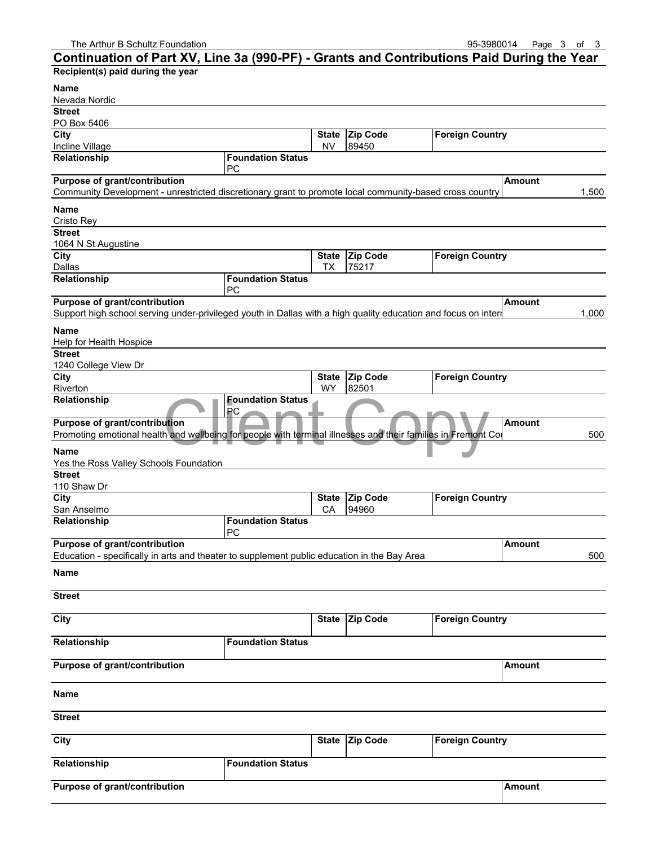### **Continuation of Part XV, Line 3a (990-PF) - Grants and Contributions Paid During the Year Recipient(s) paid during the year Name** Nevada Nordic **Street** PO Box 5406 **City State Zip Code Foreign Country** Incline Village NV 89450 **Relationship Foundation Status** PC **Purpose of grant/contribution Amount Amount Amount Amount** Community Development - unrestricted discretionary grant to promote local community-based cross country  $\vert$  1,500 **Name** Cristo Rey **Street** 1064 N St Augustine **City City City City State Zip Code Foreign Country** Dallas TX 75217 **Relationship Foundation Status** PC **Purpose of grant/contribution Amount Amount Amount Amount** Support high school serving under-privileged youth in Dallas with a high quality education and focus on intern **Name** Help for Health Hospice **Street** 1240 College View Dr **City State Zip Code Foreign Country** Riverton NY 82501 **Relationship Foundation Status PC Purpose of grant/contribution Amount** Promoting emotional health and wellbeing for people with terminal illnesses and their families in Fremont Colnty, W **Name** Yes the Ross Valley Schools Foundation **Street** 110 Shaw Dr **City City State Zip Code Foreign Country** San Anselmo **CA** 94960 **Relationship Foundation Status** PC **Purpose of grant/contribution Amount** Education - specifically in arts and theater to supplement public education in the Bay Area 500 **Name Street City State Zip Code Foreign Country Relationship Foundation Status Purpose of grant/contribution Amount Amount Name Street City State Zip Code Foreign Country Relationship Foundation Status** Foundation Status<br>
PC<br>
In and wellbeing for people with terminal illnesses and their families in Fremont t

| Purpose of grant/contribution | <b>Amount</b> |
|-------------------------------|---------------|
|-------------------------------|---------------|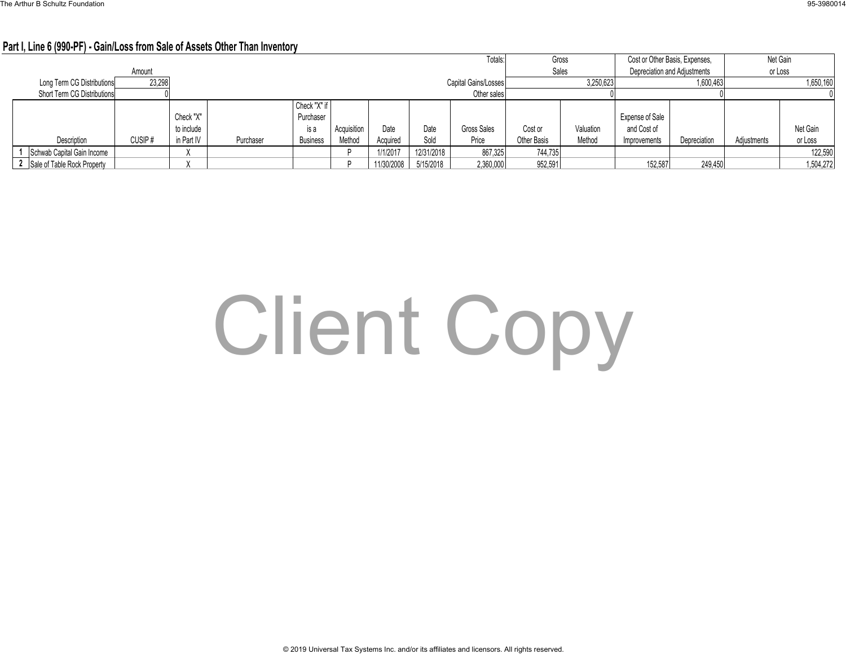### **Part I, Line 6 (990-PF) - Gain/Loss from Sale of Assets Other Than Inventory**

|                               |        |            |           |                      |             |            |            | Totals:     | Gross       |                                       | Cost or Other Basis, Expenses, |              |             | Net Gain  |
|-------------------------------|--------|------------|-----------|----------------------|-------------|------------|------------|-------------|-------------|---------------------------------------|--------------------------------|--------------|-------------|-----------|
|                               | Amount |            |           |                      |             |            |            |             |             | Sales<br>Depreciation and Adjustments |                                | or Loss      |             |           |
| Long Term CG Distributions    | 23,298 |            |           | Capital Gains/Losses |             |            |            |             |             | 3,250,623                             |                                | 1,600,463    |             | 1,650,160 |
| Short Term CG Distributions   |        |            |           |                      |             |            |            | Other sales |             |                                       |                                |              |             |           |
|                               |        |            |           | Check "X" if         |             |            |            |             |             |                                       |                                |              |             |           |
|                               |        | Check "X"  |           | Purchaser            |             |            |            |             |             |                                       | Expense of Sale                |              |             |           |
|                               |        | to include |           | is a                 | Acquisition | Date       | Date       | Gross Sales | Cost or     | Valuation                             | and Cost of                    |              |             | Net Gain  |
| Description                   | CUSIP# | in Part IV | Purchaser | <b>Business</b>      | Method      | Acquired   | Sold       | Price       | Other Basis | Method                                | Improvements                   | Depreciation | Adjustments | or Loss   |
| Schwab Capital Gain Income    |        |            |           |                      |             | /1/2017    | 12/31/2018 | 867,325     | 744,735     |                                       |                                |              |             | 122,590   |
| 2 Sale of Table Rock Property |        |            |           |                      |             | 11/30/2008 | 5/15/2018  | 2,360,000   | 952,591     |                                       | 152,587                        | 249,450      |             | 1,504,272 |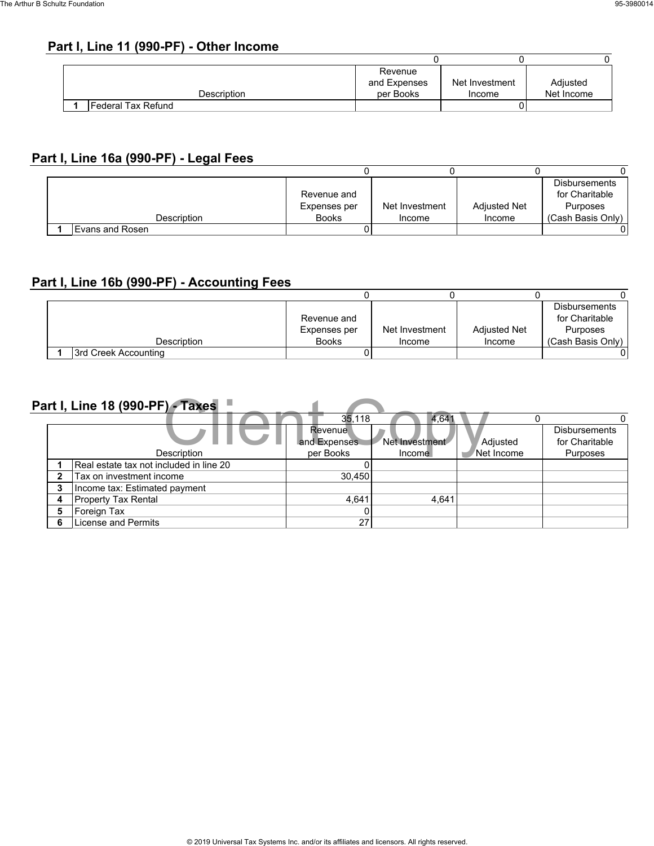### **Part I, Line 11 (990-PF) - Other Income**

|  |                    | Revenue      |                |            |
|--|--------------------|--------------|----------------|------------|
|  |                    | and Expenses | Net Investment | Adjusted   |
|  | Description        | per Books    | Income         | Net Income |
|  | Federal Tax Refund |              |                |            |

### **Part I, Line 16a (990-PF) - Legal Fees**

|                 |              |                |                     | <b>Disbursements</b> |
|-----------------|--------------|----------------|---------------------|----------------------|
|                 | Revenue and  |                |                     | for Charitable       |
|                 | Expenses per | Net Investment | <b>Adjusted Net</b> | Purposes             |
| Description     | <b>Books</b> | Income         | Income              | (Cash Basis Only)    |
| Evans and Rosen |              |                |                     |                      |

### **Part I, Line 16b (990-PF) - Accounting Fees**

|                      |              |                |                     | <b>Disbursements</b> |
|----------------------|--------------|----------------|---------------------|----------------------|
|                      | Revenue and  |                |                     | for Charitable       |
|                      | Expenses per | Net Investment | <b>Adjusted Net</b> | Purposes             |
| Description          | <b>Books</b> | Income         | Income              | (Cash Basis Only)    |
| 3rd Creek Accounting |              |                |                     |                      |

|   | Part I, Line 18 (990-PF) - Taxes        |                |                |            |                      |
|---|-----------------------------------------|----------------|----------------|------------|----------------------|
|   |                                         | 35.118         | 4.641          |            |                      |
|   |                                         | <b>Revenue</b> |                |            | <b>Disbursements</b> |
|   |                                         | and Expenses   | Net Investment | Adjusted   | for Charitable       |
|   | Description                             | per Books      | Income         | Net Income | Purposes             |
|   | Real estate tax not included in line 20 |                |                |            |                      |
|   | Tax on investment income                | 30.450         |                |            |                      |
|   | Income tax: Estimated payment           |                |                |            |                      |
| 4 | <b>Property Tax Rental</b>              | 4.641          | 4.641          |            |                      |
| 5 | Foreign Tax                             |                |                |            |                      |
| ĥ | License and Permits                     | 27             |                |            |                      |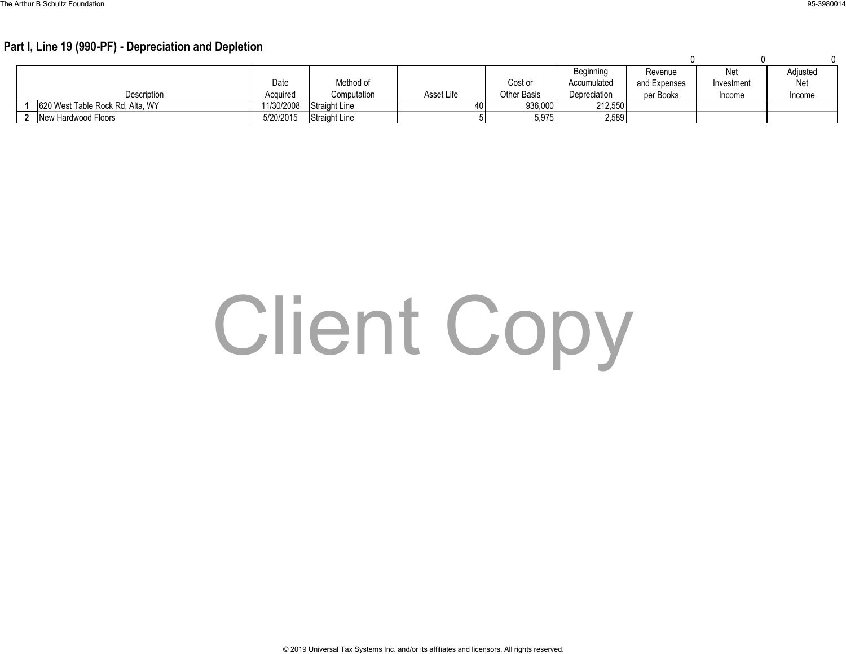#### **Part I, Line 19 (990-PF) - Depreciation and Depletion**

|                                  |            |                      |            |                    | Beginning    | Revenue      | <b>Net</b> | Adjusted |
|----------------------------------|------------|----------------------|------------|--------------------|--------------|--------------|------------|----------|
|                                  | Date       | Method of            |            | Cost or            | Accumulated  | and Expenses | Investment | Net      |
| Description                      | Acquired   | Computation          | Asset Life | <b>Other Basis</b> | Depreciation | per Books    | Income     | Income   |
| 620 West Table Rock Rd, Alta, WY | 11/30/2008 | <b>Straight Line</b> | 40         | 936,000            | 212.550      |              |            |          |
| New Hardwood Floors              | 5/20/2015  | <b>Straight Line</b> |            | 5,975              | 2,589        |              |            |          |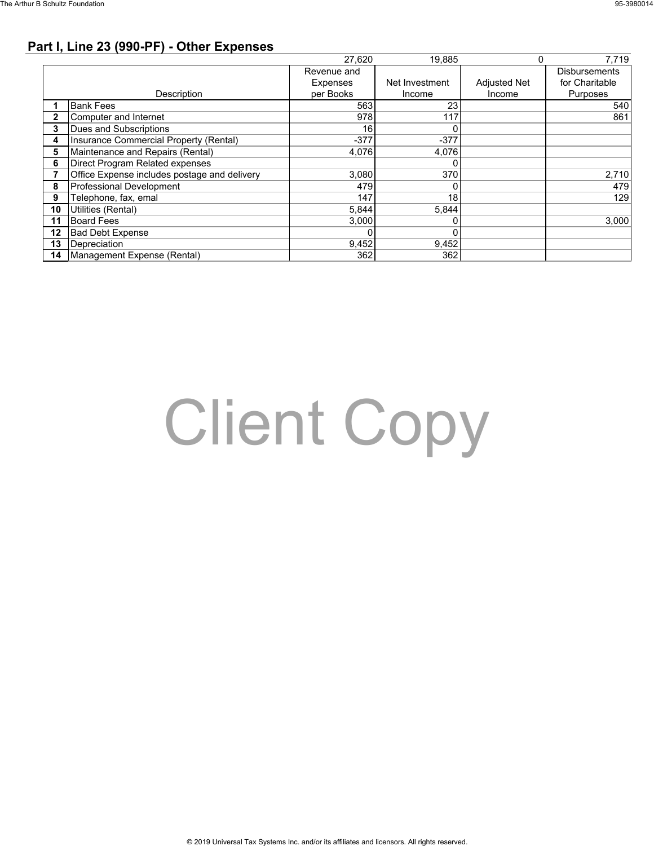### **Part I, Line 23 (990-PF) - Other Expenses**

|    |                                              | 27.620      | 19.885         |                     | 7.719                |
|----|----------------------------------------------|-------------|----------------|---------------------|----------------------|
|    |                                              | Revenue and |                |                     | <b>Disbursements</b> |
|    |                                              | Expenses    | Net Investment | <b>Adjusted Net</b> | for Charitable       |
|    | Description                                  | per Books   | Income         | Income              | Purposes             |
|    | <b>Bank Fees</b>                             | 563         | 23             |                     | 540                  |
|    | Computer and Internet                        | 978         | 117            |                     | 861                  |
|    | Dues and Subscriptions                       | 16          | 0              |                     |                      |
|    | Insurance Commercial Property (Rental)       | $-377$      | $-377$         |                     |                      |
| 5  | Maintenance and Repairs (Rental)             | 4,076       | 4,076          |                     |                      |
| 6  | Direct Program Related expenses              |             |                |                     |                      |
|    | Office Expense includes postage and delivery | 3,080       | 370            |                     | 2,710                |
| 8  | Professional Development                     | 479         | 0              |                     | 479                  |
| 9  | Telephone, fax, emal                         | 147         | 18             |                     | 129                  |
| 10 | Utilities (Rental)                           | 5,844       | 5,844          |                     |                      |
| 11 | <b>Board Fees</b>                            | 3,000       | 0              |                     | 3,000                |
| 12 | <b>Bad Debt Expense</b>                      |             | 0              |                     |                      |
| 13 | Depreciation                                 | 9,452       | 9,452          |                     |                      |
| 14 | Management Expense (Rental)                  | 362         | 362            |                     |                      |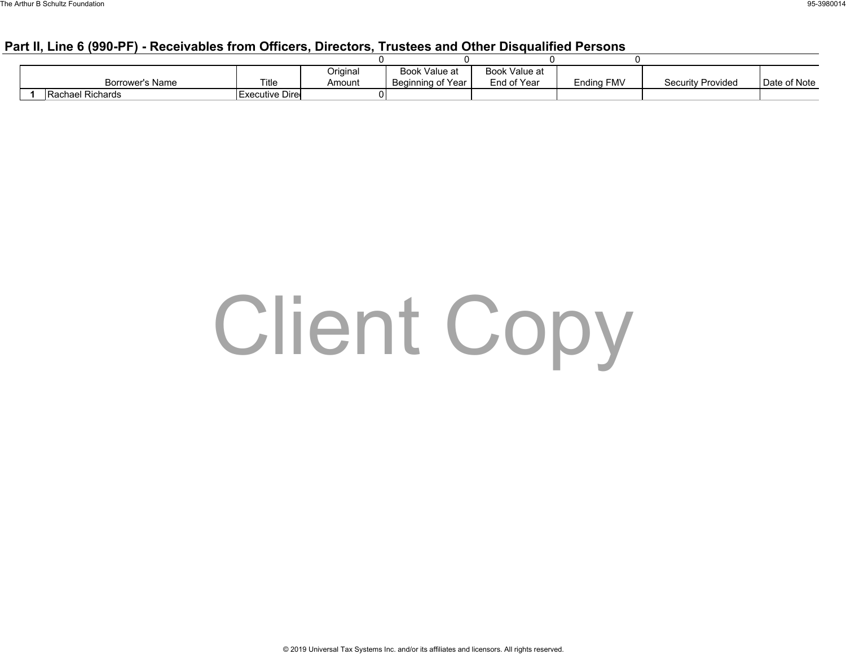### **Part II, Line 6 (990-PF) - Receivables from Officers, Directors, Trustees and Other Disqualified Persons**

|                  |                | Original | Book Value at     | Book Value at |                   |                          |              |
|------------------|----------------|----------|-------------------|---------------|-------------------|--------------------------|--------------|
| Borrower's Name  | Title          | Amount   | Beginning of Year | End of Year   | <b>Ending FMV</b> | <b>Security Provided</b> | Date of Note |
| Rachael Richards | Executive Dire |          |                   |               |                   |                          |              |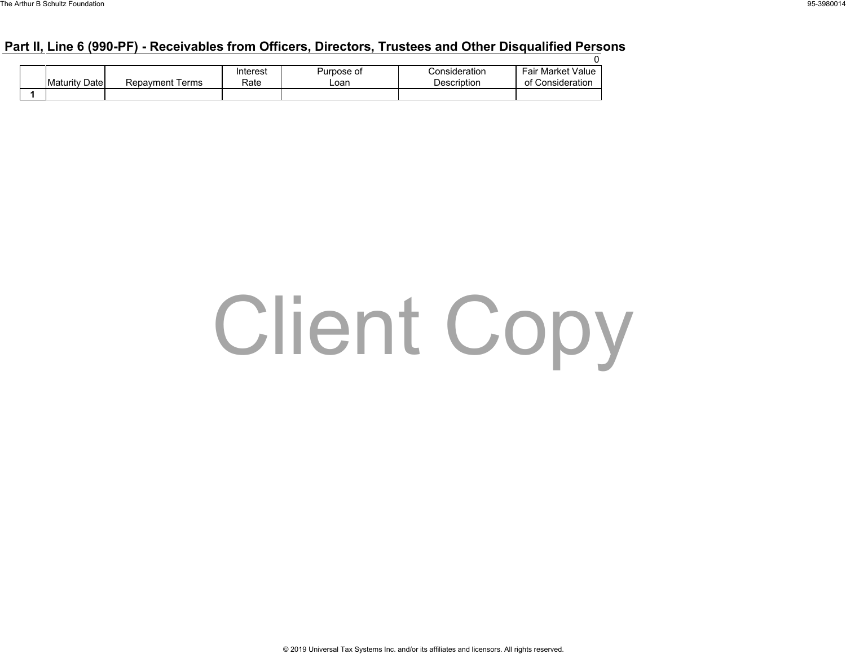### **Part II, Line 6 (990-PF) - Receivables from Officers, Directors, Trustees and Other Disqualified Persons**

|  |                      |                        | Interest | Purpose of | Consideration | Fair Market Value |
|--|----------------------|------------------------|----------|------------|---------------|-------------------|
|  | <b>Maturity Date</b> | <b>Repayment Terms</b> | Rate     | ∟oan       | Description   | of Consideration  |
|  |                      |                        |          |            |               |                   |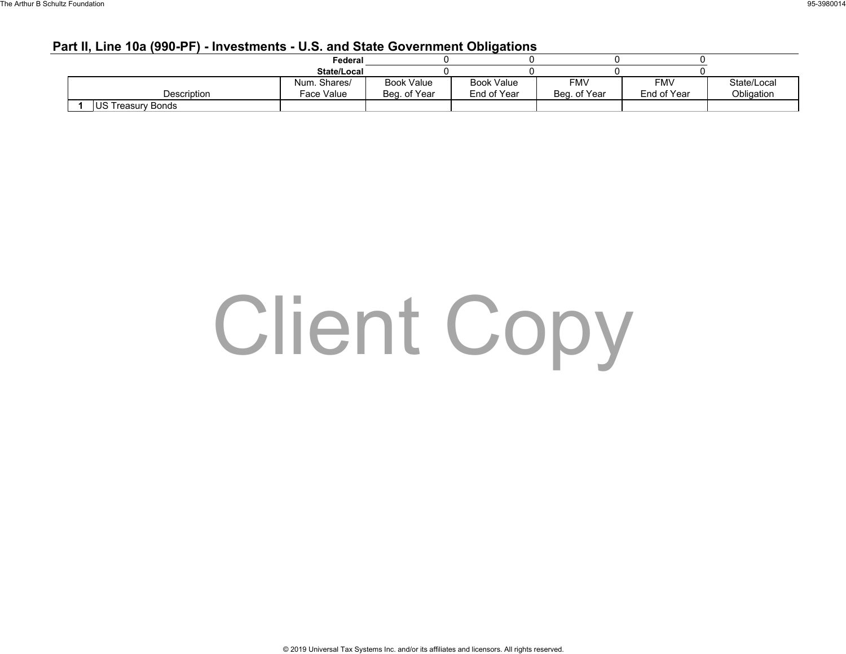#### **Part II, Line 10a (990-PF) - Investments - U.S. and State Government Obligations**

|                           | Federal      |                   |                   |              |             |             |
|---------------------------|--------------|-------------------|-------------------|--------------|-------------|-------------|
|                           | State/Local  |                   |                   |              |             |             |
|                           | Num. Shares/ | <b>Book Value</b> | <b>Book Value</b> | <b>FMV</b>   | <b>FMV</b>  | State/Local |
| Description               | Face Value   | Beg. of Year      | End of Year       | Beg. of Year | End of Year | Obligation  |
| <b>IUS Treasury Bonds</b> |              |                   |                   |              |             |             |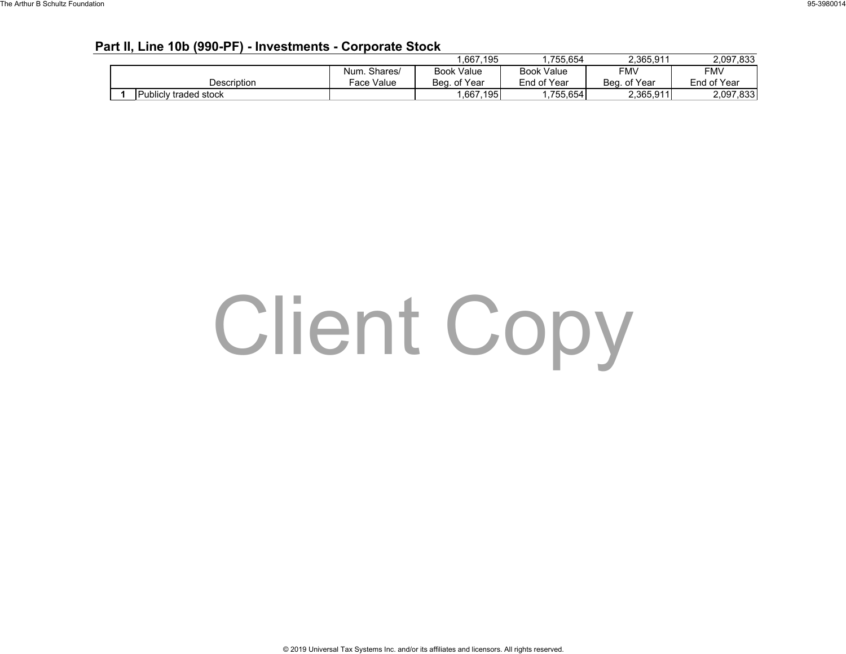#### **Part II, Line 10b (990-PF) - Investments - Corporate Stock**

|                       |              | .667,195          | 755.654           | 2.365.911    | 2,097,833   |
|-----------------------|--------------|-------------------|-------------------|--------------|-------------|
|                       | Num. Shares/ | <b>Book Value</b> | <b>Book Value</b> | <b>FMV</b>   | <b>FMV</b>  |
| Description           | Face Value   | Beg. of Year      | End of Year       | Beg. of Year | End of Year |
| Publicly traded stock |              | .667,195          | .755.654          | 2,365,911    | 2,097,833   |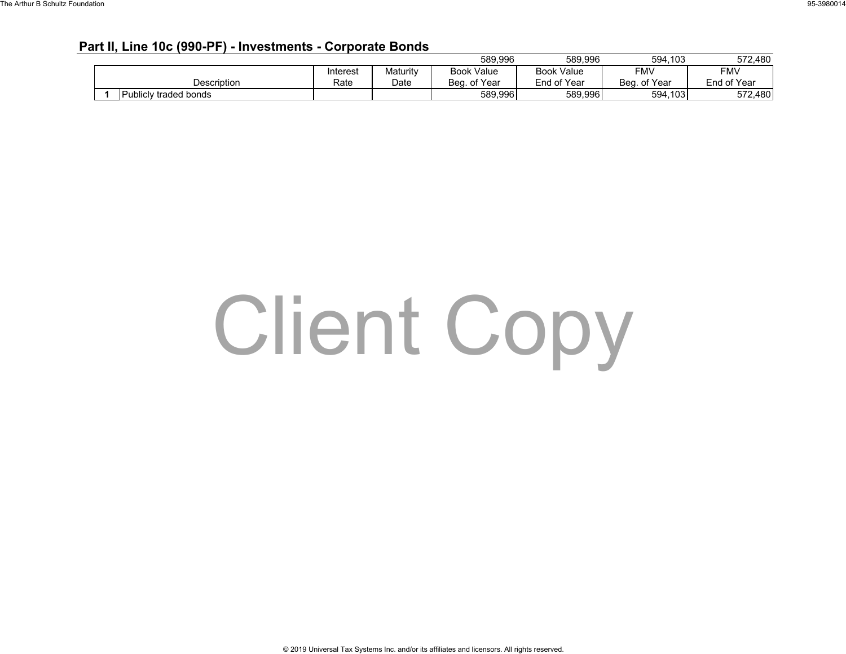#### **Part II, Line 10c (990-PF) - Investments - Corporate Bonds**

|                       |          |          | 589.996           | 589,996           | 594,103           | 572.480     |
|-----------------------|----------|----------|-------------------|-------------------|-------------------|-------------|
|                       | Interest | Maturitv | <b>Book Value</b> | <b>Book Value</b> | FMV               | FMV         |
| Description           | Rate     | Date     | Beg. of Year      | End of Year       | . of Year<br>Bea. | End of Year |
| Publicly traded bonds |          |          | 589.996           | 589.996           | 594,103           | 572,480     |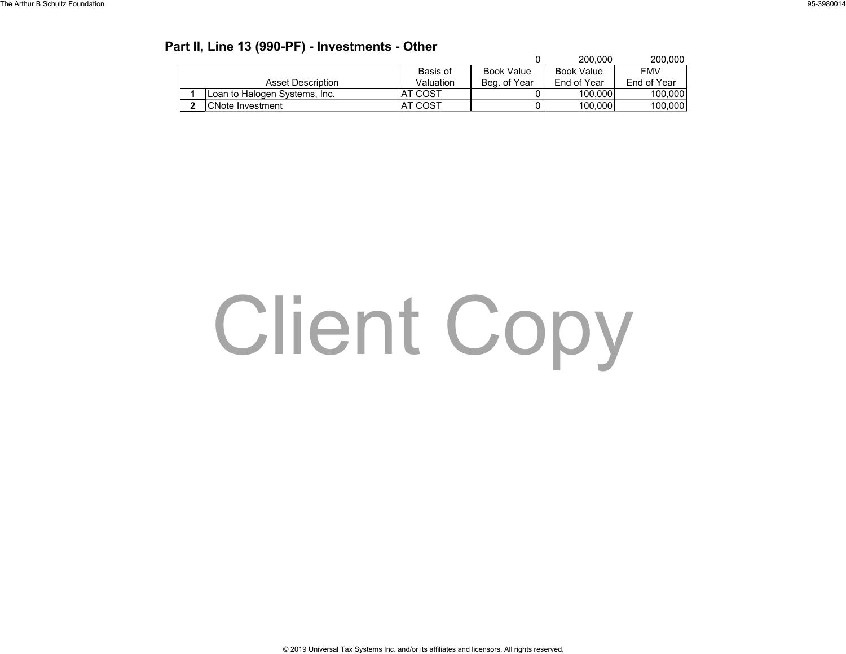### **Part II, Line 13 (990-PF) - Investments - Other**

|   |                               |                |                   | 200,000     | 200.000     |
|---|-------------------------------|----------------|-------------------|-------------|-------------|
|   |                               | Basis of       | <b>Book Value</b> | Book Value  | <b>FMV</b>  |
|   | Asset Description             | Valuation      | Beg. of Year      | End of Year | End of Year |
|   | Loan to Halogen Systems, Inc. | AT COST        |                   | 100.000     | 100,000     |
| ົ | CNote Investment              | <b>AT COST</b> |                   | 100,000     | 100,000     |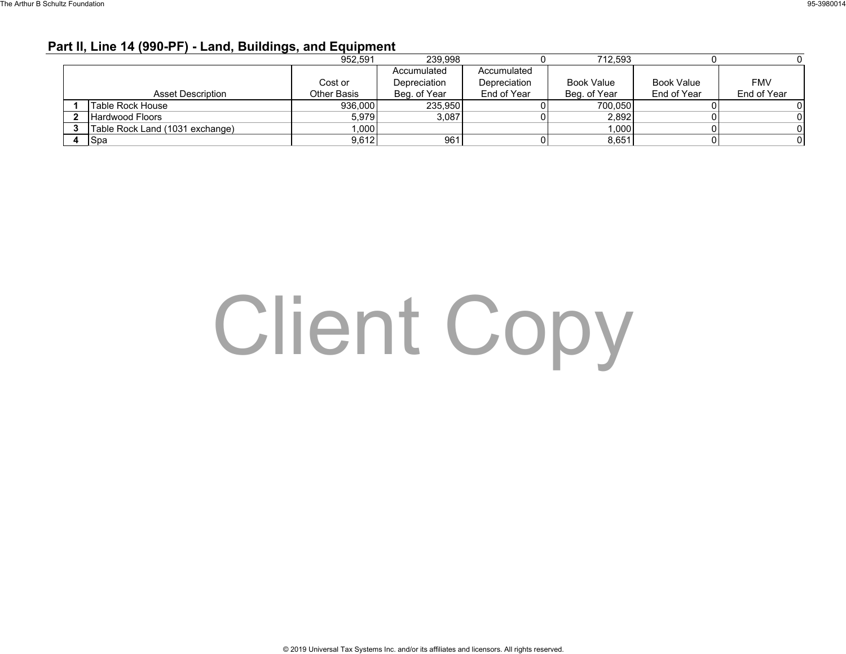### **Part II, Line 14 (990-PF) - Land, Buildings, and Equipment**

|                                 | 952.591            | 239.998      |              | 712.593           |                   |             |
|---------------------------------|--------------------|--------------|--------------|-------------------|-------------------|-------------|
|                                 |                    | Accumulated  | Accumulated  |                   |                   |             |
|                                 | Cost or            | Depreciation | Depreciation | <b>Book Value</b> | <b>Book Value</b> | <b>FMV</b>  |
| <b>Asset Description</b>        | <b>Other Basis</b> | Beg. of Year | End of Year  | Beg. of Year      | End of Year       | End of Year |
| l Table Rock House              | 936,000            | 235.950      |              | 700.050           |                   |             |
| <b>Hardwood Floors</b>          | 5.979              | 3,087        |              | 2.892             |                   |             |
| Table Rock Land (1031 exchange) | 1,000              |              |              | 1,000             |                   |             |
| <b>Spa</b>                      | 9,612              | 961          |              | 8,651             |                   |             |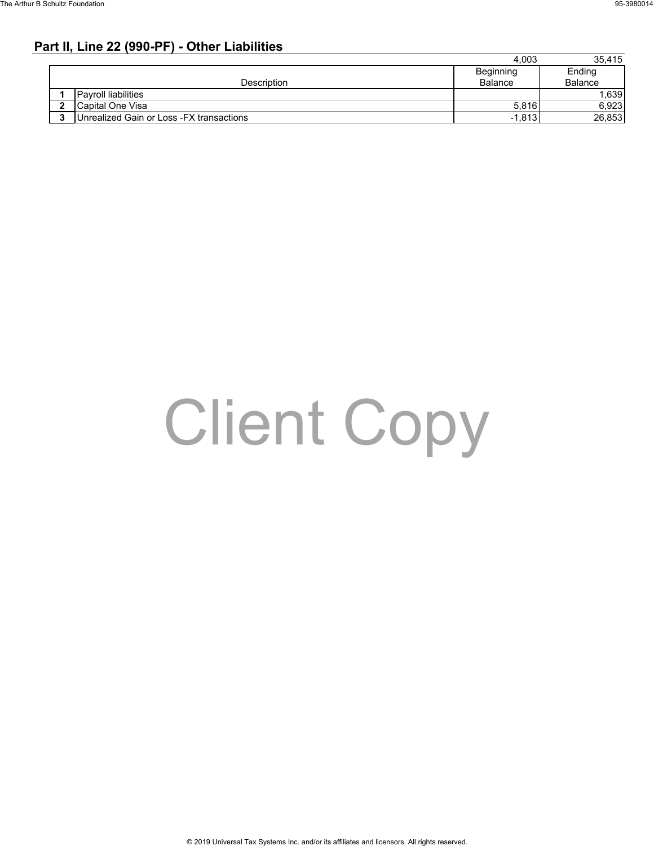### **Part II, Line 22 (990-PF) - Other Liabilities**

|   |                                           | 4.003     | 35.415  |
|---|-------------------------------------------|-----------|---------|
|   |                                           | Beginning | Ending  |
|   | Description                               | Balance   | Balance |
|   | <b>Payroll liabilities</b>                |           | .639    |
| 2 | Capital One Visa                          | 5.816     | 6,923   |
|   | Unrealized Gain or Loss - FX transactions | $-1.813$  | 26,853  |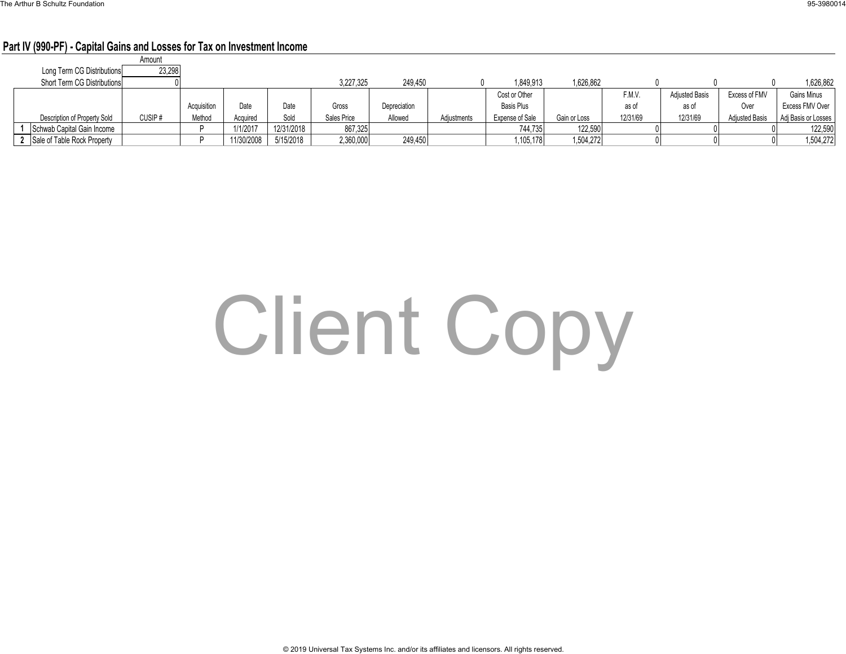#### **Part IV (990-PF) - Capital Gains and Losses for Tax on Investment Income**

|                              | Amount |             |                 |            |             |              |             |                   |              |          |                       |                       |                     |
|------------------------------|--------|-------------|-----------------|------------|-------------|--------------|-------------|-------------------|--------------|----------|-----------------------|-----------------------|---------------------|
| Long Term CG Distributions   | 23,298 |             |                 |            |             |              |             |                   |              |          |                       |                       |                     |
| Short Term CG Distributions  |        |             |                 |            | 3.227.325   | 249.450      |             | 1.849.913         | 1.626.862    |          |                       |                       | 1,626,862           |
|                              |        |             |                 |            |             |              |             | Cost or Other     |              | F.M.V.   | <b>Adjusted Basis</b> | Excess of FMV         | Gains Minus         |
|                              |        | Acquisition | Date            | Date       | Gross       | Depreciation |             | <b>Basis Plus</b> |              | as of    | as of                 | Over                  | Excess FMV Over     |
| Description of Property Sold | CUSIP# | Method      | Acauired        | Sold       | Sales Price | Allowed      | Adiustments | Expense of Sale   | Gain or Loss | 12/31/69 | 12/31/69              | <b>Adiusted Basis</b> | Adi Basis or Losses |
| Schwab Capital Gain Income   |        |             | <b>I/1/2017</b> | 12/31/2018 | 867,325     |              |             | 744,735           | 122,590      |          |                       |                       | 122,590             |
| Sale of Table Rock Property  |        |             | 11/30/2008      | 5/15/2018  | 2,360,000   | 249,450      |             | 1,105,178         | 1,504,272    |          |                       |                       | 1,504,272           |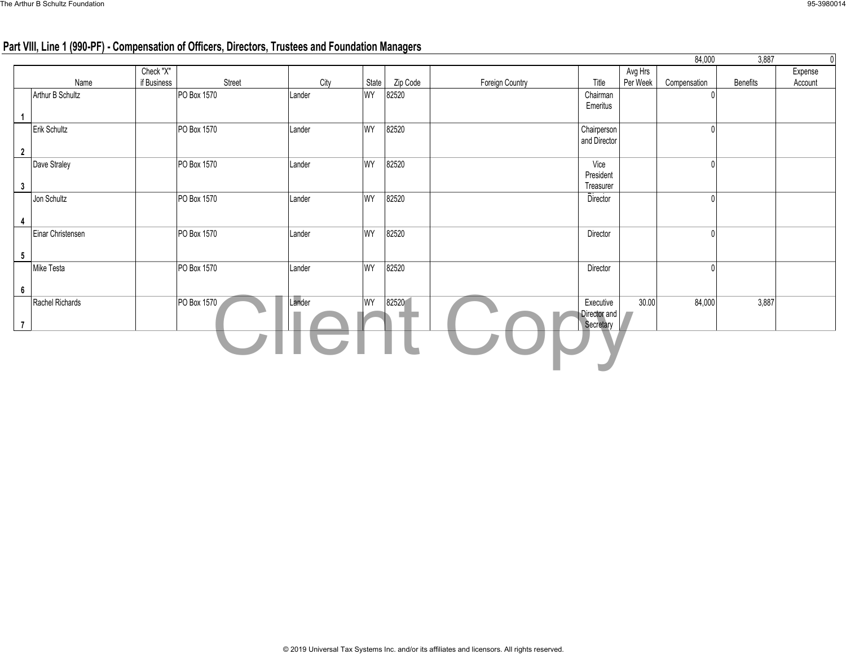### **Part VIII, Line 1 (990-PF) - Compensation of Officers, Directors, Trustees and Foundation Managers**

|                   |      |                          |             |        |           |          |                 |                                        |                     | 84,000       | 3,887    |                    |
|-------------------|------|--------------------------|-------------|--------|-----------|----------|-----------------|----------------------------------------|---------------------|--------------|----------|--------------------|
|                   | Name | Check "X"<br>if Business | Street      | City   | State     | Zip Code | Foreign Country | Title                                  | Avg Hrs<br>Per Week | Compensation | Benefits | Expense<br>Account |
| Arthur B Schultz  |      |                          | PO Box 1570 | Lander | <b>WY</b> | 82520    |                 | Chairman<br>Emeritus                   |                     |              |          |                    |
| Erik Schultz      |      |                          | PO Box 1570 | Lander | WY        | 82520    |                 | Chairperson<br>and Director            |                     |              |          |                    |
| Dave Straley      |      |                          | PO Box 1570 | Lander | WY        | 82520    |                 | Vice<br>President<br>Treasurer         |                     |              |          |                    |
| Jon Schultz       |      |                          | PO Box 1570 | Lander | WY        | 82520    |                 | Director                               |                     |              |          |                    |
| Einar Christensen |      |                          | PO Box 1570 | Lander | <b>WY</b> | 82520    |                 | Director                               |                     |              |          |                    |
| Mike Testa        |      |                          | PO Box 1570 | Lander | WY        | 82520    |                 | Director                               |                     |              |          |                    |
| Rachel Richards   |      |                          | PO Box 1570 | Lander | WY        | 82520    |                 | Executive<br>Director and<br>Secretary | 30.00               | 84,000       | 3,887    |                    |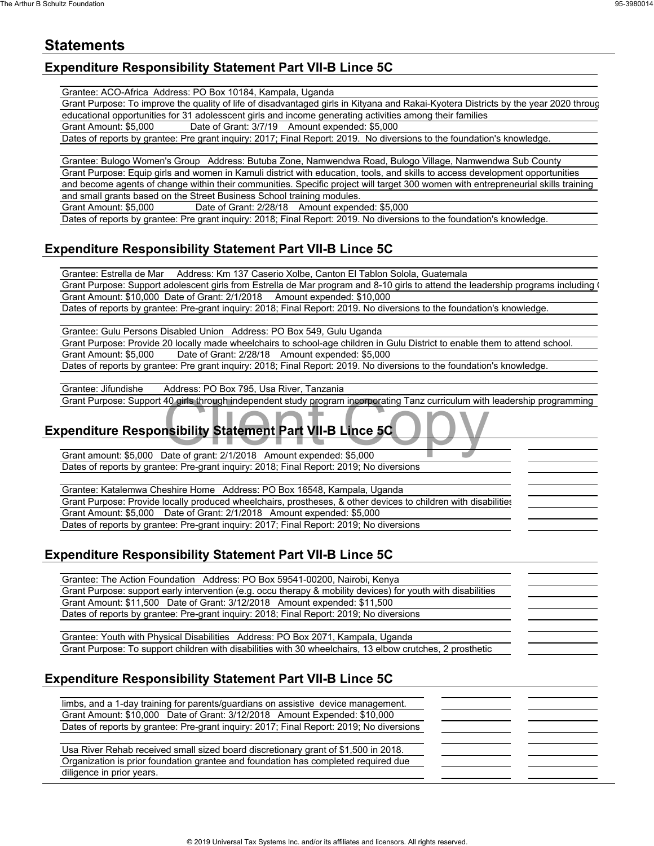### **Statements**

### **Expenditure Responsibility Statement Part VII-B Lince 5C**

Grantee: ACO-Africa Address: PO Box 10184, Kampala, Uganda

Grant Purpose: To improve the quality of life of disadvantaged girls in Kityana and Rakai-Kyotera Districts by the year 2020 through educational opportunities for 31 adolesscent girls and income generating activities among their families

Grant Amount: \$5,000 Date of Grant: 3/7/19 Amount expended: \$5,000 Dates of reports by grantee: Pre grant inquiry: 2017; Final Report: 2019. No diversions to the foundation's knowledge.

Grantee: Bulogo Women's Group Address: Butuba Zone, Namwendwa Road, Bulogo Village, Namwendwa Sub County Grant Purpose: Equip girls and women in Kamuli district with education, tools, and skills to access development opportunities and become agents of change within their communities. Specific project will target 300 women with entrepreneurial skills training and small grants based on the Street Business School training modules.

Grant Amount: \$5,000 Date of Grant: 2/28/18 Amount expended: \$5,000

Dates of reports by grantee: Pre grant inquiry: 2018; Final Report: 2019. No diversions to the foundation's knowledge.

### **Expenditure Responsibility Statement Part VII-B Lince 5C**

Grantee: Estrella de Mar Address: Km 137 Caserio Xolbe, Canton El Tablon Solola, Guatemala Grant Purpose: Support adolescent girls from Estrella de Mar program and 8-10 girls to attend the leadership programs including ( Grant Amount: \$10,000 Date of Grant: 2/1/2018 Amount expended: \$10,000 Dates of reports by grantee: Pre-grant inquiry: 2018; Final Report: 2019. No diversions to the foundation's knowledge.

Grantee: Gulu Persons Disabled Union Address: PO Box 549, Gulu Uganda Grant Purpose: Provide 20 locally made wheelchairs to school-age children in Gulu District to enable them to attend school. Grant Amount: \$5,000 Date of Grant: 2/28/18 Amount expended: \$5,000 Dates of reports by grantee: Pre grant inquiry: 2018; Final Report: 2019. No diversions to the foundation's knowledge.

Grantee: Jifundishe Address: PO Box 795, Usa River, Tanzania

### Grant Purpose: Support 40 girls through independent study program incorporating Tanz curriculum with leadership programming<br> **Penditure Responsibility Statement Part VII-B Lince 5C**<br>
Grant amount: \$5,000 Date of grant: 2/1 **Expenditure Responsibility Statement Part VII-B Lince 5C**

Grant amount: \$5,000 Date of grant: 2/1/2018 Amount expended: \$5,000 Dates of reports by grantee: Pre-grant inquiry: 2018; Final Report: 2019; No diversions

Grantee: Katalemwa Cheshire Home Address: PO Box 16548, Kampala, Uganda

Grant Purpose: Provide locally produced wheelchairs, prostheses, & other devices to children with disabilities Grant Amount: \$5,000 Date of Grant: 2/1/2018 Amount expended: \$5,000 Dates of reports by grantee: Pre-grant inquiry: 2017; Final Report: 2019; No diversions

### **Expenditure Responsibility Statement Part VII-B Lince 5C**

Grantee: The Action Foundation Address: PO Box 59541-00200, Nairobi, Kenya Grant Purpose: support early intervention (e.g. occu therapy & mobility devices) for youth with disabilities Grant Amount: \$11,500 Date of Grant: 3/12/2018 Amount expended: \$11,500 Dates of reports by grantee: Pre-grant inquiry: 2018; Final Report: 2019; No diversions

Grantee: Youth with Physical Disabilities Address: PO Box 2071, Kampala, Uganda Grant Purpose: To support children with disabilities with 30 wheelchairs, 13 elbow crutches, 2 prosthetic

### **Expenditure Responsibility Statement Part VII-B Lince 5C**

| limbs, and a 1-day training for parents/quardians on assistive device management.       |  |
|-----------------------------------------------------------------------------------------|--|
| Grant Amount: \$10,000 Date of Grant: 3/12/2018 Amount Expended: \$10,000               |  |
| Dates of reports by grantee: Pre-grant inquiry: 2017; Final Report: 2019; No diversions |  |
|                                                                                         |  |
| Usa River Rehab received small sized board discretionary grant of \$1,500 in 2018.      |  |
| Organization is prior foundation grantee and foundation has completed required due      |  |
| diligence in prior years.                                                               |  |